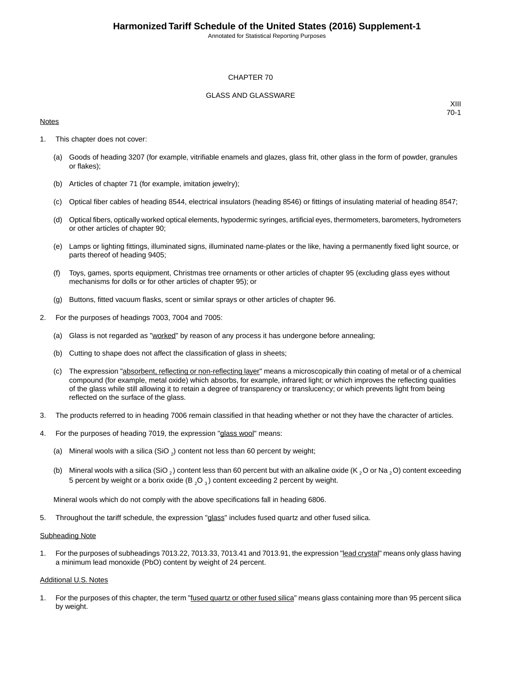Annotated for Statistical Reporting Purposes

#### CHAPTER 70

#### GLASS AND GLASSWARE

#### **Notes**

XIII 70-1

- 1. This chapter does not cover:
	- (a) Goods of heading 3207 (for example, vitrifiable enamels and glazes, glass frit, other glass in the form of powder, granules or flakes);
	- (b) Articles of chapter 71 (for example, imitation jewelry);
	- (c) Optical fiber cables of heading 8544, electrical insulators (heading 8546) or fittings of insulating material of heading 8547;
	- (d) Optical fibers, optically worked optical elements, hypodermic syringes, artificial eyes, thermometers, barometers, hydrometers or other articles of chapter 90;
	- (e) Lamps or lighting fittings, illuminated signs, illuminated name-plates or the like, having a permanently fixed light source, or parts thereof of heading 9405;
	- (f) Toys, games, sports equipment, Christmas tree ornaments or other articles of chapter 95 (excluding glass eyes without mechanisms for dolls or for other articles of chapter 95); or
	- (g) Buttons, fitted vacuum flasks, scent or similar sprays or other articles of chapter 96.
- 2. For the purposes of headings 7003, 7004 and 7005:
	- (a) Glass is not regarded as "worked" by reason of any process it has undergone before annealing;
	- (b) Cutting to shape does not affect the classification of glass in sheets;
	- (c) The expression "absorbent, reflecting or non-reflecting layer" means a microscopically thin coating of metal or of a chemical compound (for example, metal oxide) which absorbs, for example, infrared light; or which improves the reflecting qualities of the glass while still allowing it to retain a degree of transparency or translucency; or which prevents light from being reflected on the surface of the glass.
- 3. The products referred to in heading 7006 remain classified in that heading whether or not they have the character of articles.
- 4. For the purposes of heading 7019, the expression "glass wool" means:
	- (a) Mineral wools with a silica (SiO  $_2$ ) content not less than 60 percent by weight;
	- (b) Mineral wools with a silica (SiO,) content less than 60 percent but with an alkaline oxide (K, O or Na, O) content exceeding 5 percent by weight or a borix oxide (B  $_2$ O  $_3$ ) content exceeding 2 percent by weight.

Mineral wools which do not comply with the above specifications fall in heading 6806.

5. Throughout the tariff schedule, the expression "glass" includes fused quartz and other fused silica.

#### **Subheading Note**

1. For the purposes of subheadings 7013.22, 7013.33, 7013.41 and 7013.91, the expression "lead crystal" means only glass having a minimum lead monoxide (PbO) content by weight of 24 percent.

#### Additional U.S. Notes

1. For the purposes of this chapter, the term "**fused quartz or other fused silica**" means glass containing more than 95 percent silica by weight.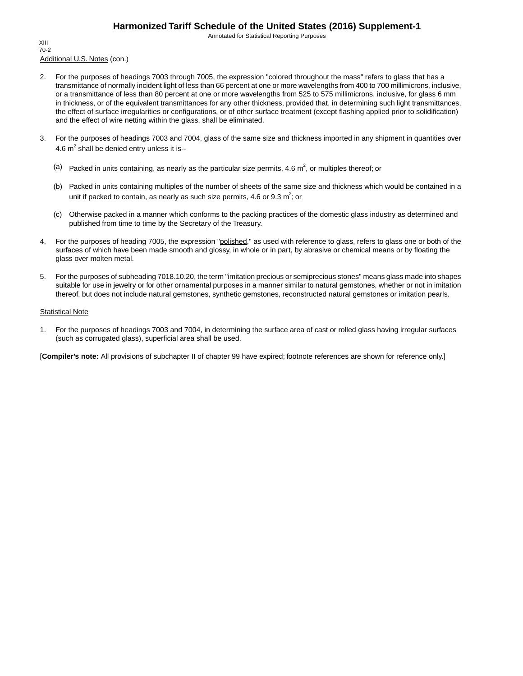Annotated for Statistical Reporting Purposes

Additional U.S. Notes (con.) XIII 70-2

- 2. For the purposes of headings 7003 through 7005, the expression "colored throughout the mass" refers to glass that has a transmittance of normally incident light of less than 66 percent at one or more wavelengths from 400 to 700 millimicrons, inclusive, or a transmittance of less than 80 percent at one or more wavelengths from 525 to 575 millimicrons, inclusive, for glass 6 mm in thickness, or of the equivalent transmittances for any other thickness, provided that, in determining such light transmittances, the effect of surface irregularities or configurations, or of other surface treatment (except flashing applied prior to solidification) and the effect of wire netting within the glass, shall be eliminated.
- 3. For the purposes of headings 7003 and 7004, glass of the same size and thickness imported in any shipment in quantities over 4.6  $m^2$  shall be denied entry unless it is--
	- (a) Packed in units containing, as nearly as the particular size permits, 4.6  $m^2$ , or multiples thereof; or
	- (b) Packed in units containing multiples of the number of sheets of the same size and thickness which would be contained in a unit if packed to contain, as nearly as such size permits, 4.6 or 9.3  $m^2$ ; or
	- (c) Otherwise packed in a manner which conforms to the packing practices of the domestic glass industry as determined and published from time to time by the Secretary of the Treasury.
- 4. For the purposes of heading 7005, the expression "polished," as used with reference to glass, refers to glass one or both of the surfaces of which have been made smooth and glossy, in whole or in part, by abrasive or chemical means or by floating the glass over molten metal.
- 5. For the purposes of subheading 7018.10.20, the term "imitation precious or semiprecious stones" means glass made into shapes suitable for use in jewelry or for other ornamental purposes in a manner similar to natural gemstones, whether or not in imitation thereof, but does not include natural gemstones, synthetic gemstones, reconstructed natural gemstones or imitation pearls.

#### Statistical Note

1. For the purposes of headings 7003 and 7004, in determining the surface area of cast or rolled glass having irregular surfaces (such as corrugated glass), superficial area shall be used.

[**Compiler's note:** All provisions of subchapter II of chapter 99 have expired; footnote references are shown for reference only.]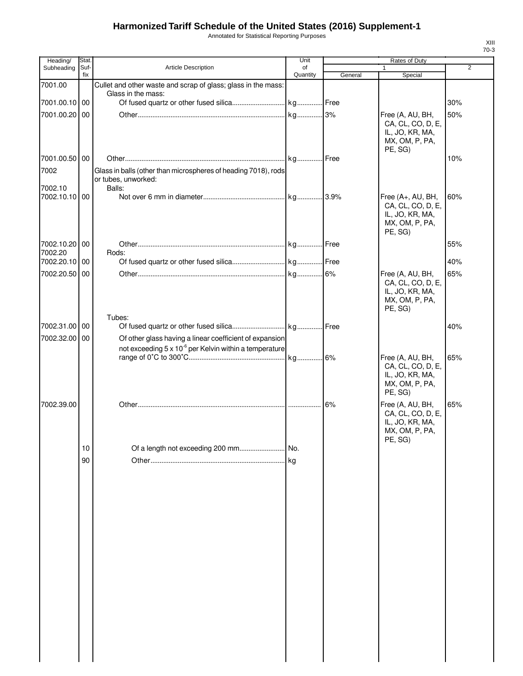Annotated for Statistical Reporting Purposes

| Heading/      | Stat.       |                                                                    | Unit           |         | Rates of Duty                                                                          |     |
|---------------|-------------|--------------------------------------------------------------------|----------------|---------|----------------------------------------------------------------------------------------|-----|
| Subheading    | Suf-<br>fix | Article Description                                                | of<br>Quantity |         | 1                                                                                      | 2   |
| 7001.00       |             | Cullet and other waste and scrap of glass; glass in the mass:      |                | General | Special                                                                                |     |
|               |             | Glass in the mass:                                                 |                |         |                                                                                        |     |
| 7001.00.10 00 |             |                                                                    |                |         |                                                                                        | 30% |
| 7001.00.20 00 |             |                                                                    |                |         | Free (A, AU, BH,                                                                       | 50% |
|               |             |                                                                    |                |         | CA, CL, CO, D, E,<br>IL, JO, KR, MA,<br>MX, OM, P, PA,<br>PE, SG)                      |     |
| 7001.00.50 00 |             |                                                                    |                |         |                                                                                        | 10% |
| 7002          |             | Glass in balls (other than microspheres of heading 7018), rods     |                |         |                                                                                        |     |
|               |             | or tubes, unworked:                                                |                |         |                                                                                        |     |
| 7002.10       |             | Balls:                                                             |                |         |                                                                                        |     |
| 7002.10.10 00 |             |                                                                    |                |         | Free (A+, AU, BH,<br>CA, CL, CO, D, E,<br>IL, JO, KR, MA,<br>MX, OM, P, PA,<br>PE, SG) | 60% |
| 7002.10.20 00 |             |                                                                    |                |         |                                                                                        | 55% |
| 7002.20       |             | Rods:                                                              |                |         |                                                                                        |     |
| 7002.20.10    | 00          |                                                                    |                |         |                                                                                        | 40% |
| 7002.20.50 00 |             |                                                                    |                |         | Free (A, AU, BH,<br>CA, CL, CO, D, E,<br>IL, JO, KR, MA,<br>MX, OM, P, PA,<br>PE, SG)  | 65% |
|               |             | Tubes:                                                             |                |         |                                                                                        |     |
| 7002.31.00 00 |             |                                                                    |                |         |                                                                                        | 40% |
| 7002.32.00    | 00          | Of other glass having a linear coefficient of expansion            |                |         |                                                                                        |     |
|               |             | not exceeding 5 x 10 <sup>-6</sup> per Kelvin within a temperature |                |         |                                                                                        |     |
|               |             |                                                                    |                |         | Free (A, AU, BH,<br>CA, CL, CO, D, E,<br>IL, JO, KR, MA,<br>MX, OM, P, PA,<br>PE, SG)  | 65% |
| 7002.39.00    |             |                                                                    |                | 6%      | Free (A, AU, BH,                                                                       | 65% |
|               |             |                                                                    |                |         | CA, CL, CO, D, E,<br>IL, JO, KR, MA,<br>MX, OM, P, PA,<br>PE, SG)                      |     |
|               | 10          |                                                                    |                |         |                                                                                        |     |
|               | 90          |                                                                    |                |         |                                                                                        |     |
|               |             |                                                                    |                |         |                                                                                        |     |
|               |             |                                                                    |                |         |                                                                                        |     |
|               |             |                                                                    |                |         |                                                                                        |     |
|               |             |                                                                    |                |         |                                                                                        |     |
|               |             |                                                                    |                |         |                                                                                        |     |
|               |             |                                                                    |                |         |                                                                                        |     |
|               |             |                                                                    |                |         |                                                                                        |     |
|               |             |                                                                    |                |         |                                                                                        |     |
|               |             |                                                                    |                |         |                                                                                        |     |
|               |             |                                                                    |                |         |                                                                                        |     |
|               |             |                                                                    |                |         |                                                                                        |     |
|               |             |                                                                    |                |         |                                                                                        |     |
|               |             |                                                                    |                |         |                                                                                        |     |
|               |             |                                                                    |                |         |                                                                                        |     |
|               |             |                                                                    |                |         |                                                                                        |     |
|               |             |                                                                    |                |         |                                                                                        |     |
|               |             |                                                                    |                |         |                                                                                        |     |
|               |             |                                                                    |                |         |                                                                                        |     |
|               |             |                                                                    |                |         |                                                                                        |     |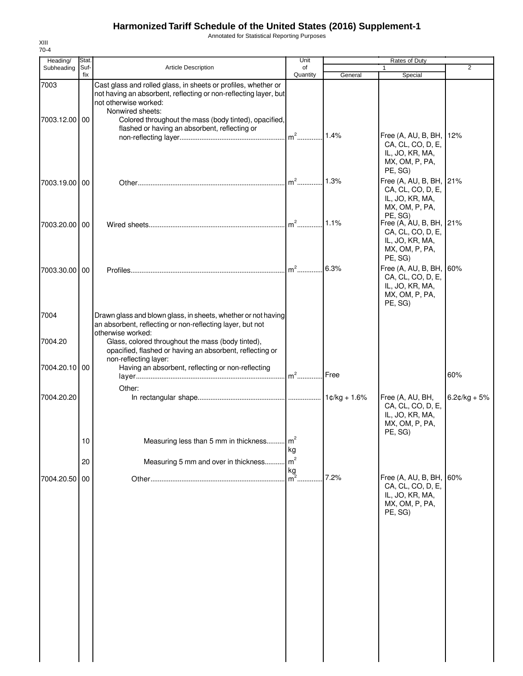Annotated for Statistical Reporting Purposes

| Heading/      | Stat. |                                                                                                                                                                        | Unit                                                |         | Rates of Duty                                                                                           |                |
|---------------|-------|------------------------------------------------------------------------------------------------------------------------------------------------------------------------|-----------------------------------------------------|---------|---------------------------------------------------------------------------------------------------------|----------------|
| Subheading    | Suf-  | <b>Article Description</b>                                                                                                                                             | of                                                  |         |                                                                                                         | $\overline{2}$ |
| 7003          | fix   | Cast glass and rolled glass, in sheets or profiles, whether or                                                                                                         | Quantity                                            | General | Special                                                                                                 |                |
| 7003.12.00 00 |       | not having an absorbent, reflecting or non-reflecting layer, but<br>not otherwise worked:<br>Nonwired sheets:<br>Colored throughout the mass (body tinted), opacified, |                                                     |         |                                                                                                         |                |
|               |       | flashed or having an absorbent, reflecting or                                                                                                                          |                                                     | 1.4%    | Free (A, AU, B, BH, 12%<br>CA, CL, CO, D, E,<br>IL, JO, KR, MA,<br>MX, OM, P, PA,<br>PE, SG)            |                |
| 7003.19.00 00 |       |                                                                                                                                                                        | $m2$                                                | 1.3%    | Free (A, AU, B, BH, 21%<br>CA, CL, CO, D, E,<br>IL, JO, KR, MA,<br>MX, OM, P, PA,                       |                |
| 7003.20.00 00 |       |                                                                                                                                                                        | $\mathsf{I}_{\mathsf{m}^2\ldots\ldots\ldots\ldots}$ | 1.1%    | PE, SG)<br>Free (A, AU, B, BH, 21%<br>CA, CL, CO, D, E,<br>IL, JO, KR, MA,<br>MX, OM, P, PA,            |                |
| 7003.30.00 00 |       |                                                                                                                                                                        | $m2$ .                                              | 6.3%    | PE, SG)<br>Free (A, AU, B, BH, 60%<br>CA, CL, CO, D, E,<br>IL, JO, KR, MA,<br>MX, OM, P, PA,<br>PE, SG) |                |
| 7004          |       | Drawn glass and blown glass, in sheets, whether or not having<br>an absorbent, reflecting or non-reflecting layer, but not<br>otherwise worked:                        |                                                     |         |                                                                                                         |                |
| 7004.20       |       | Glass, colored throughout the mass (body tinted),<br>opacified, flashed or having an absorbent, reflecting or<br>non-reflecting layer:                                 |                                                     |         |                                                                                                         |                |
| 7004.20.10 00 |       | Having an absorbent, reflecting or non-reflecting<br>Other:                                                                                                            | $m^2$                                               | Free    |                                                                                                         | 60%            |
| 7004.20.20    |       |                                                                                                                                                                        |                                                     |         | Free (A, AU, BH,<br>CA, CL, CO, D, E,<br>IL, JO, KR, MA,<br>MX, OM, P, PA,<br>PE, SG)                   | $6.2¢/kg + 5%$ |
|               | 10    | Measuring less than 5 mm in thickness                                                                                                                                  | m <sup>2</sup><br>kg<br>m <sup>2</sup>              |         |                                                                                                         |                |
|               | 20    | Measuring 5 mm and over in thickness                                                                                                                                   | kg                                                  |         |                                                                                                         |                |
| 7004.20.50    | 00    |                                                                                                                                                                        | m <sup>2</sup>                                      | 7.2%    | Free (A, AU, B, BH, 60%<br>CA, CL, CO, D, E,<br>IL, JO, KR, MA,<br>MX, OM, P, PA,<br>PE, SG)            |                |
|               |       |                                                                                                                                                                        |                                                     |         |                                                                                                         |                |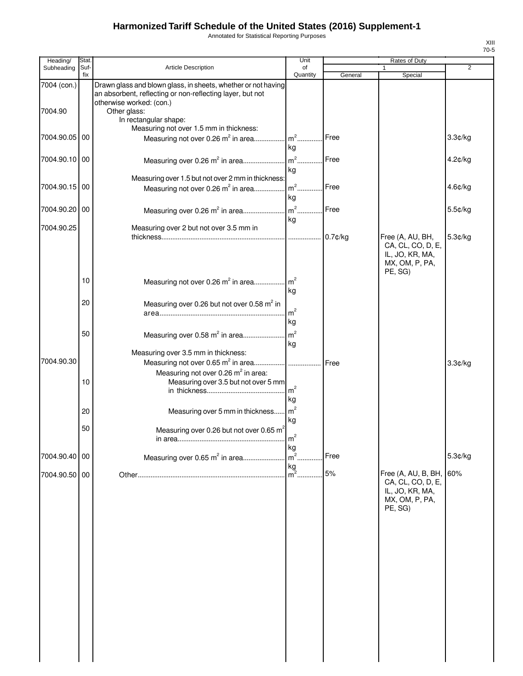Annotated for Statistical Reporting Purposes

| Heading/      | Stat.       |                                                                                                                            | Unit                 |            | Rates of Duty                                                                            |                |
|---------------|-------------|----------------------------------------------------------------------------------------------------------------------------|----------------------|------------|------------------------------------------------------------------------------------------|----------------|
| Subheading    | Suf-<br>fix | Article Description                                                                                                        | of<br>Quantity       |            |                                                                                          | $\overline{2}$ |
| 7004 (con.)   |             | Drawn glass and blown glass, in sheets, whether or not having<br>an absorbent, reflecting or non-reflecting layer, but not |                      | General    | Special                                                                                  |                |
| 7004.90       |             | otherwise worked: (con.)<br>Other glass:<br>In rectangular shape:<br>Measuring not over 1.5 mm in thickness:               |                      |            |                                                                                          |                |
| 7004.90.05 00 |             | Measuring not over 0.26 m <sup>2</sup> in area                                                                             | $m2$ .<br>kg         | Free       |                                                                                          | 3.3¢/kg        |
| 7004.90.10 00 |             | Measuring over 0.26 m <sup>2</sup> in area                                                                                 | $m2$ .<br>kg         | Free       |                                                                                          | 4.2¢/kg        |
| 7004.90.15 00 |             | Measuring over 1.5 but not over 2 mm in thickness:<br>Measuring not over 0.26 m <sup>2</sup> in area                       | $m2$ .<br>kg         | Free       |                                                                                          | 4.6¢/kg        |
| 7004.90.20 00 |             | Measuring over 0.26 m <sup>2</sup> in area                                                                                 | $m2$<br>kg           | Free       |                                                                                          | 5.5¢/kg        |
| 7004.90.25    |             | Measuring over 2 but not over 3.5 mm in                                                                                    |                      |            |                                                                                          |                |
|               |             |                                                                                                                            |                      | $0.7$ ¢/kg | Free (A, AU, BH,<br>CA, CL, CO, D, E,<br>IL, JO, KR, MA,<br>MX, OM, P, PA,<br>PE, SG)    | 5.3¢/kg        |
|               | 10          | Measuring not over 0.26 m <sup>2</sup> in area                                                                             | m <sup>2</sup><br>kg |            |                                                                                          |                |
|               | 20          | Measuring over 0.26 but not over 0.58 m <sup>2</sup> in                                                                    | m <sup>2</sup><br>kg |            |                                                                                          |                |
|               | 50          | Measuring over 0.58 m <sup>2</sup> in area                                                                                 | m <sup>2</sup><br>kg |            |                                                                                          |                |
| 7004.90.30    |             | Measuring over 3.5 mm in thickness:                                                                                        |                      | Free       |                                                                                          | 3.3¢/kg        |
|               | 10          | Measuring not over 0.26 m <sup>2</sup> in area:<br>Measuring over 3.5 but not over 5 mm                                    | m <sup>2</sup><br>kg |            |                                                                                          |                |
|               | 20          | Measuring over 5 mm in thickness                                                                                           | $\mathsf{m}^2$<br>kg |            |                                                                                          |                |
|               | 50          | Measuring over 0.26 but not over 0.65 m <sup>2</sup>                                                                       | m<br>kg              |            |                                                                                          |                |
| 7004.90.40 00 |             | Measuring over 0.65 m <sup>2</sup> in area                                                                                 | m <sup>2</sup><br>kg | Free       |                                                                                          | 5.3¢/kg        |
| 7004.90.50 00 |             |                                                                                                                            | $m^2$ .              | $5%$       | Free (A, AU, B, BH,<br>CA, CL, CO, D, E,<br>IL, JO, KR, MA,<br>MX, OM, P, PA,<br>PE, SG) | 60%            |
|               |             |                                                                                                                            |                      |            |                                                                                          |                |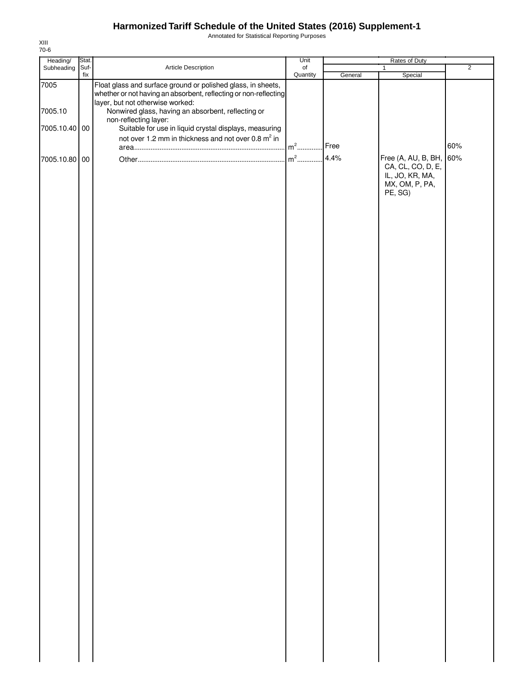Annotated for Statistical Reporting Purposes

| Heading/      | Stat.       |                                                                                                                                  | Unit                         |              | Rates of Duty                                                                            |                |
|---------------|-------------|----------------------------------------------------------------------------------------------------------------------------------|------------------------------|--------------|------------------------------------------------------------------------------------------|----------------|
| Subheading    | Suf-<br>fix | Article Description                                                                                                              | $_{\mathsf{of}}$<br>Quantity | General      | 1<br>Special                                                                             | $\overline{2}$ |
| 7005          |             | Float glass and surface ground or polished glass, in sheets,<br>whether or not having an absorbent, reflecting or non-reflecting |                              |              |                                                                                          |                |
|               |             | layer, but not otherwise worked:                                                                                                 |                              |              |                                                                                          |                |
| 7005.10       |             | Nonwired glass, having an absorbent, reflecting or<br>non-reflecting layer:                                                      |                              |              |                                                                                          |                |
| 7005.10.40 00 |             | Suitable for use in liquid crystal displays, measuring                                                                           |                              |              |                                                                                          |                |
|               |             | not over 1.2 mm in thickness and not over 0.8 m <sup>2</sup> in                                                                  |                              |              |                                                                                          |                |
|               |             |                                                                                                                                  | $m2$                         | Free<br>4.4% |                                                                                          | 60%            |
| 7005.10.80 00 |             |                                                                                                                                  | $m^2$<br>.                   |              | Free (A, AU, B, BH,<br>CA, CL, CO, D, E,<br>IL, JO, KR, MA,<br>MX, OM, P, PA,<br>PE, SG) | 60%            |
|               |             |                                                                                                                                  |                              |              |                                                                                          |                |
|               |             |                                                                                                                                  |                              |              |                                                                                          |                |
|               |             |                                                                                                                                  |                              |              |                                                                                          |                |
|               |             |                                                                                                                                  |                              |              |                                                                                          |                |
|               |             |                                                                                                                                  |                              |              |                                                                                          |                |
|               |             |                                                                                                                                  |                              |              |                                                                                          |                |
|               |             |                                                                                                                                  |                              |              |                                                                                          |                |
|               |             |                                                                                                                                  |                              |              |                                                                                          |                |
|               |             |                                                                                                                                  |                              |              |                                                                                          |                |
|               |             |                                                                                                                                  |                              |              |                                                                                          |                |
|               |             |                                                                                                                                  |                              |              |                                                                                          |                |
|               |             |                                                                                                                                  |                              |              |                                                                                          |                |
|               |             |                                                                                                                                  |                              |              |                                                                                          |                |
|               |             |                                                                                                                                  |                              |              |                                                                                          |                |
|               |             |                                                                                                                                  |                              |              |                                                                                          |                |
|               |             |                                                                                                                                  |                              |              |                                                                                          |                |
|               |             |                                                                                                                                  |                              |              |                                                                                          |                |
|               |             |                                                                                                                                  |                              |              |                                                                                          |                |
|               |             |                                                                                                                                  |                              |              |                                                                                          |                |
|               |             |                                                                                                                                  |                              |              |                                                                                          |                |
|               |             |                                                                                                                                  |                              |              |                                                                                          |                |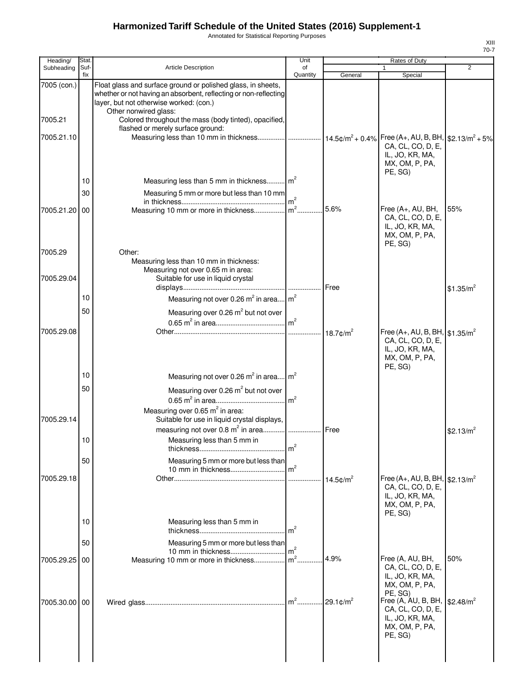Annotated for Statistical Reporting Purposes

| Heading/               | Stat        |                                                                                                                                                                                                                                                               | Unit                |                         | Rates of Duty                                                                                                 |                       |
|------------------------|-------------|---------------------------------------------------------------------------------------------------------------------------------------------------------------------------------------------------------------------------------------------------------------|---------------------|-------------------------|---------------------------------------------------------------------------------------------------------------|-----------------------|
| Subheading             | Suf-<br>fix | Article Description                                                                                                                                                                                                                                           | of<br>Quantity      | General                 | 1<br>Special                                                                                                  | $\overline{2}$        |
| 7005 (con.)<br>7005.21 |             | Float glass and surface ground or polished glass, in sheets,<br>whether or not having an absorbent, reflecting or non-reflecting<br>layer, but not otherwise worked: (con.)<br>Other nonwired glass:<br>Colored throughout the mass (body tinted), opacified, |                     |                         |                                                                                                               |                       |
| 7005.21.10             |             | flashed or merely surface ground:<br>Measuring less than 10 mm in thickness  14.5¢/m <sup>2</sup> + 0.4% Free (A+, AU, B, BH,  \$2.13/m <sup>2</sup> + 5%                                                                                                     |                     |                         | CA, CL, CO, D, E,<br>IL, JO, KR, MA,<br>MX, OM, P, PA,<br>PE, SG)                                             |                       |
|                        | 10          | Measuring less than 5 mm in thickness m <sup>2</sup>                                                                                                                                                                                                          |                     |                         |                                                                                                               |                       |
|                        | 30          | Measuring 5 mm or more but less than 10 mm                                                                                                                                                                                                                    |                     |                         |                                                                                                               |                       |
| 7005.21.20 00          |             | Measuring 10 mm or more in thickness m <sup>2</sup>                                                                                                                                                                                                           |                     | 5.6%                    | Free (A+, AU, BH,<br>CA, CL, CO, D, E,<br>IL, JO, KR, MA,<br>MX, OM, P, PA,<br>PE, SG)                        | 55%                   |
| 7005.29                |             | Other:<br>Measuring less than 10 mm in thickness:<br>Measuring not over 0.65 m in area:                                                                                                                                                                       |                     |                         |                                                                                                               |                       |
| 7005.29.04             |             | Suitable for use in liquid crystal                                                                                                                                                                                                                            |                     |                         |                                                                                                               | \$1.35/m <sup>2</sup> |
|                        | 10          | Measuring not over 0.26 m <sup>2</sup> in area m <sup>2</sup>                                                                                                                                                                                                 |                     |                         |                                                                                                               |                       |
|                        | 50          | Measuring over 0.26 m <sup>2</sup> but not over                                                                                                                                                                                                               |                     |                         |                                                                                                               |                       |
| 7005.29.08             |             |                                                                                                                                                                                                                                                               |                     |                         | Free (A+, AU, B, BH, $$1.35/m^2$<br>CA, CL, CO, D, E,<br>IL, JO, KR, MA,<br>MX, OM, P, PA,                    |                       |
|                        | 10          | Measuring not over 0.26 $m^2$ in area $m^2$                                                                                                                                                                                                                   |                     |                         | PE, SG)                                                                                                       |                       |
| 7005.29.14             | 50          | Measuring over 0.26 m <sup>2</sup> but not over<br>Measuring over 0.65 $m^2$ in area:<br>Suitable for use in liquid crystal displays,                                                                                                                         |                     |                         |                                                                                                               |                       |
|                        |             | measuring not over 0.8 m <sup>2</sup> in area   Free                                                                                                                                                                                                          |                     |                         |                                                                                                               | \$2.13/m <sup>2</sup> |
|                        | 10          | Measuring less than 5 mm in                                                                                                                                                                                                                                   | m <sup>2</sup>      |                         |                                                                                                               |                       |
|                        | 50          | Measuring 5 mm or more but less than                                                                                                                                                                                                                          |                     |                         |                                                                                                               |                       |
| 7005.29.18             |             |                                                                                                                                                                                                                                                               | m <sup>2</sup><br>. | $14.5$ ¢/m <sup>2</sup> | Free (A+, AU, B, BH, $\frac{62.13}{m^2}$<br>CA, CL, CO, D, E,<br>IL, JO, KR, MA,<br>MX, OM, P, PA,<br>PE, SG) |                       |
|                        | 10          | Measuring less than 5 mm in                                                                                                                                                                                                                                   | m <sup>2</sup>      |                         |                                                                                                               |                       |
|                        | 50          | Measuring 5 mm or more but less than                                                                                                                                                                                                                          | m <sup>2</sup>      |                         |                                                                                                               |                       |
| 7005.29.25 00          |             | Measuring 10 mm or more in thickness                                                                                                                                                                                                                          | $\text{Im}^2$ .     | 4.9%                    | Free (A, AU, BH,<br>CA, CL, CO, D, E,<br>IL, JO, KR, MA,<br>MX, OM, P, PA,                                    | 50%                   |
| 7005.30.00 00          |             |                                                                                                                                                                                                                                                               | $m2$ .              | $29.1$ ¢/m <sup>2</sup> | PE, SG)<br>Free (A, AU, B, BH,<br>CA, CL, CO, D, E,<br>IL, JO, KR, MA,<br>MX, OM, P, PA,<br>PE, SG)           | \$2.48/m <sup>2</sup> |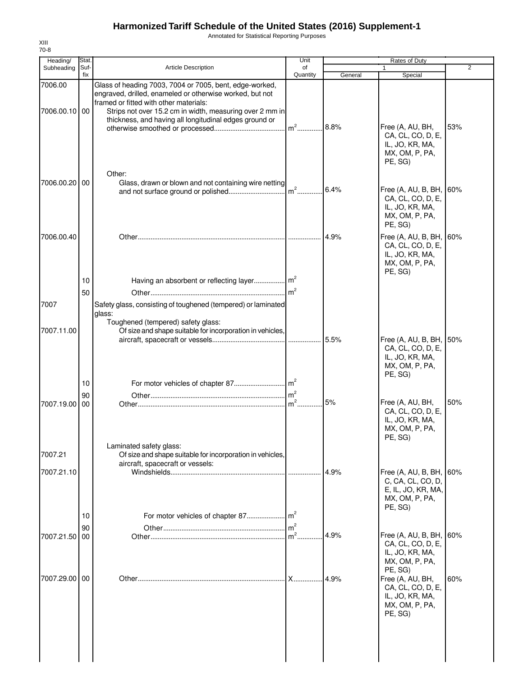Annotated for Statistical Reporting Purposes

| Heading/      | <b>Stat</b> |                                                                                                                                                               | Unit                     |         | Rates of Duty                                                                                                      |     |
|---------------|-------------|---------------------------------------------------------------------------------------------------------------------------------------------------------------|--------------------------|---------|--------------------------------------------------------------------------------------------------------------------|-----|
| Subheading    | Suf-<br>fix | <b>Article Description</b>                                                                                                                                    | of<br>Quantity           | General | 1<br>Special                                                                                                       | 2   |
| 7006.00       |             | Glass of heading 7003, 7004 or 7005, bent, edge-worked,<br>engraved, drilled, enameled or otherwise worked, but not<br>framed or fitted with other materials: |                          |         |                                                                                                                    |     |
| 7006.00.10 00 |             | Strips not over 15.2 cm in width, measuring over 2 mm in<br>thickness, and having all longitudinal edges ground or                                            | $m^2$                    | 8.8%    | Free (A, AU, BH,<br>CA, CL, CO, D, E,<br>IL, JO, KR, MA,<br>MX, OM, P, PA,<br>PE, SG)                              | 53% |
| 7006.00.20 00 |             | Other:<br>Glass, drawn or blown and not containing wire netting                                                                                               |                          | 6.4%    | Free (A, AU, B, BH, 60%<br>CA, CL, CO, D, E,<br>IL, JO, KR, MA,<br>MX, OM, P, PA,<br>PE, SG)                       |     |
| 7006.00.40    |             |                                                                                                                                                               |                          | 4.9%    | Free (A, AU, B, BH, 60%<br>CA, CL, CO, D, E,<br>IL, JO, KR, MA,<br>MX, OM, P, PA,<br>PE, SG)                       |     |
|               | 10          |                                                                                                                                                               |                          |         |                                                                                                                    |     |
| 7007          | 50          | Safety glass, consisting of toughened (tempered) or laminated<br>glass:                                                                                       |                          |         |                                                                                                                    |     |
| 7007.11.00    |             | Toughened (tempered) safety glass:<br>Of size and shape suitable for incorporation in vehicles,                                                               |                          |         | Free (A, AU, B, BH, 50%<br>CA, CL, CO, D, E,                                                                       |     |
|               | 10          |                                                                                                                                                               |                          |         | IL, JO, KR, MA,<br>MX, OM, P, PA,<br>PE, SG)                                                                       |     |
| 7007.19.00    | 90<br>00    |                                                                                                                                                               | m <sup>2</sup><br>$m2$ . | 5%      | Free (A, AU, BH,<br>CA, CL, CO, D, E,<br>IL, JO, KR, MA,<br>MX, OM, P, PA,<br>PE, SG)                              | 50% |
| 7007.21       |             | Laminated safety glass:<br>Of size and shape suitable for incorporation in vehicles,<br>aircraft, spacecraft or vessels:                                      |                          |         |                                                                                                                    |     |
| 7007.21.10    | 10          |                                                                                                                                                               | .                        | 4.9%    | Free (A, AU, B, BH, 60%<br>C, CA, CL, CO, D,<br>E, IL, JO, KR, MA,<br>MX, OM, P, PA,<br>PE, SG)                    |     |
| 7007.21.50    | 90<br>00    |                                                                                                                                                               | m <sup>2</sup><br>$m2$ . | 4.9%    | Free (A, AU, B, BH, 60%<br>CA, CL, CO, D, E,<br>IL, JO, KR, MA,                                                    |     |
| 7007.29.00    | 00          |                                                                                                                                                               | . X…………                  | 4.9%    | MX, OM, P, PA,<br>PE, SG)<br>Free (A, AU, BH,<br>CA, CL, CO, D, E,<br>IL, JO, KR, MA,<br>MX, OM, P, PA,<br>PE, SG) | 60% |
|               |             |                                                                                                                                                               |                          |         |                                                                                                                    |     |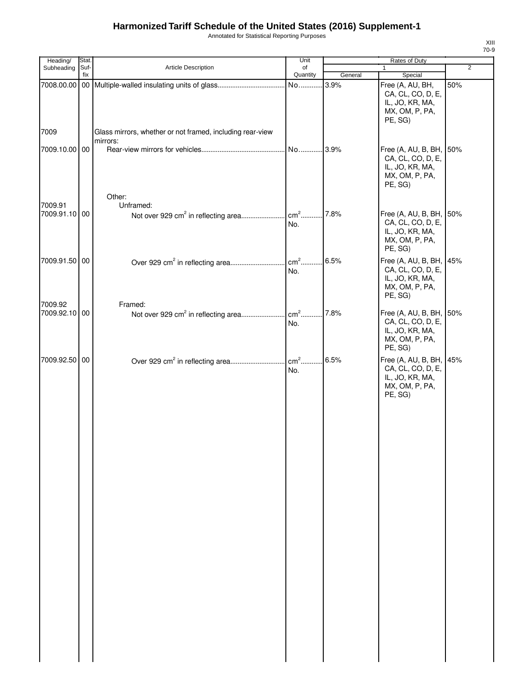Annotated for Statistical Reporting Purposes

| Heading/      | Stat.       |                                                                       | Unit                 |         | Rates of Duty                                                                                |                |
|---------------|-------------|-----------------------------------------------------------------------|----------------------|---------|----------------------------------------------------------------------------------------------|----------------|
| Subheading    | Suf-<br>fix | Article Description                                                   | of<br>Quantity       | General | 1<br>Special                                                                                 | $\overline{2}$ |
| 7008.00.00    |             |                                                                       | No                   | 3.9%    | Free (A, AU, BH,<br>CA, CL, CO, D, E,<br>IL, JO, KR, MA,<br>MX, OM, P, PA,<br>PE, SG)        | 50%            |
| 7009          |             | Glass mirrors, whether or not framed, including rear-view<br>mirrors: |                      |         |                                                                                              |                |
| 7009.10.00 00 |             | Other:                                                                | No                   | 3.9%    | Free (A, AU, B, BH, 50%<br>CA, CL, CO, D, E,<br>IL, JO, KR, MA,<br>MX, OM, P, PA,<br>PE, SG) |                |
| 7009.91       |             | Unframed:                                                             |                      |         |                                                                                              |                |
| 7009.91.10 00 |             | Not over 929 cm <sup>2</sup> in reflecting area                       | $\text{cm}^2$<br>No. | 7.8%    | Free (A, AU, B, BH, 50%<br>CA, CL, CO, D, E,<br>IL, JO, KR, MA,<br>MX, OM, P, PA,<br>PE, SG) |                |
| 7009.91.50 00 |             |                                                                       | $\text{cm}^2$<br>No. | 6.5%    | Free (A, AU, B, BH, 45%<br>CA, CL, CO, D, E,<br>IL, JO, KR, MA,<br>MX, OM, P, PA,<br>PE, SG) |                |
| 7009.92       |             | Framed:                                                               |                      |         |                                                                                              |                |
| 7009.92.10 00 |             | Not over 929 cm <sup>2</sup> in reflecting area                       | $\text{cm}^2$<br>No. | 7.8%    | Free (A, AU, B, BH, 50%<br>CA, CL, CO, D, E,<br>IL, JO, KR, MA,<br>MX, OM, P, PA,<br>PE, SG) |                |
| 7009.92.50 00 |             |                                                                       | $\text{cm}^2$<br>No. | 6.5%    | Free (A, AU, B, BH, 45%<br>CA, CL, CO, D, E,<br>IL, JO, KR, MA,<br>MX, OM, P, PA,<br>PE, SG) |                |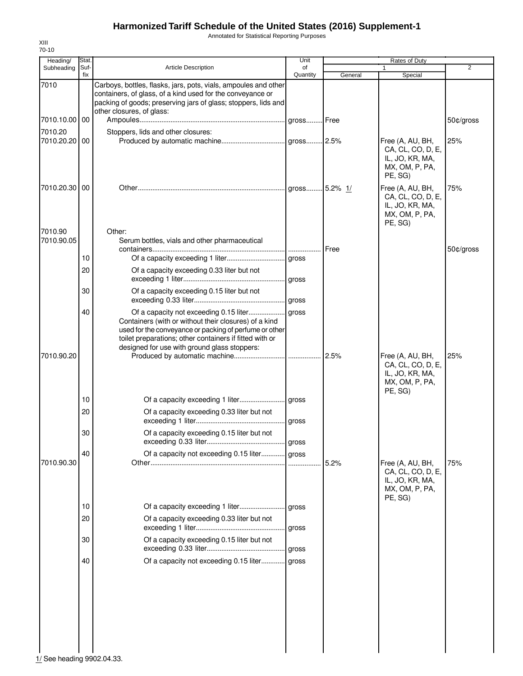Annotated for Statistical Reporting Purposes

| Heading/                 | Stat.       |                                                                                                                                                                                                                              | Unit           |         | Rates of Duty                                                                         |                |
|--------------------------|-------------|------------------------------------------------------------------------------------------------------------------------------------------------------------------------------------------------------------------------------|----------------|---------|---------------------------------------------------------------------------------------|----------------|
| Subheading               | Suf-<br>fix | <b>Article Description</b>                                                                                                                                                                                                   | of<br>Quantity | General | 1<br>Special                                                                          | $\overline{2}$ |
| 7010                     |             | Carboys, bottles, flasks, jars, pots, vials, ampoules and other<br>containers, of glass, of a kind used for the conveyance or<br>packing of goods; preserving jars of glass; stoppers, lids and<br>other closures, of glass: |                |         |                                                                                       |                |
| 7010.10.00 00            |             |                                                                                                                                                                                                                              |                |         |                                                                                       | 50¢/gross      |
| 7010.20<br>7010.20.20    | 00          | Stoppers, lids and other closures:                                                                                                                                                                                           |                |         | Free (A, AU, BH,<br>CA, CL, CO, D, E,<br>IL, JO, KR, MA,<br>MX, OM, P, PA,<br>PE, SG) | 25%            |
| 7010.20.30 00<br>7010.90 |             | Other:                                                                                                                                                                                                                       |                |         | Free (A, AU, BH,<br>CA, CL, CO, D, E,<br>IL, JO, KR, MA,<br>MX, OM, P, PA,<br>PE, SG) | 75%            |
| 7010.90.05               |             | Serum bottles, vials and other pharmaceutical                                                                                                                                                                                |                | Free    |                                                                                       | 50¢/gross      |
|                          | 10          |                                                                                                                                                                                                                              |                |         |                                                                                       |                |
|                          | 20          | Of a capacity exceeding 0.33 liter but not                                                                                                                                                                                   |                |         |                                                                                       |                |
|                          | 30          | Of a capacity exceeding 0.15 liter but not                                                                                                                                                                                   |                |         |                                                                                       |                |
|                          | 40          | Containers (with or without their closures) of a kind<br>used for the conveyance or packing of perfume or other<br>toilet preparations; other containers if fitted with or<br>designed for use with ground glass stoppers:   |                |         |                                                                                       |                |
| 7010.90.20               |             |                                                                                                                                                                                                                              |                | 2.5%    | Free (A, AU, BH,<br>CA, CL, CO, D, E,<br>IL, JO, KR, MA,<br>MX, OM, P, PA,<br>PE, SG) | 25%            |
|                          | 10          |                                                                                                                                                                                                                              |                |         |                                                                                       |                |
|                          | 20          | Of a capacity exceeding 0.33 liter but not                                                                                                                                                                                   |                |         |                                                                                       |                |
|                          | 30          | Of a capacity exceeding 0.15 liter but not                                                                                                                                                                                   |                |         |                                                                                       |                |
| 7010.90.30               | 40          | Of a capacity not exceeding 0.15 liter gross                                                                                                                                                                                 |                | 5.2%    |                                                                                       | 75%            |
|                          |             |                                                                                                                                                                                                                              |                |         | Free (A, AU, BH,<br>CA, CL, CO, D, E,<br>IL, JO, KR, MA,<br>MX, OM, P, PA,<br>PE, SG) |                |
|                          | 10          |                                                                                                                                                                                                                              | gross          |         |                                                                                       |                |
|                          | 20          | Of a capacity exceeding 0.33 liter but not                                                                                                                                                                                   | gross          |         |                                                                                       |                |
|                          | 30          | Of a capacity exceeding 0.15 liter but not                                                                                                                                                                                   | gross          |         |                                                                                       |                |
|                          | 40          | Of a capacity not exceeding 0.15 liter                                                                                                                                                                                       | gross          |         |                                                                                       |                |
|                          |             |                                                                                                                                                                                                                              |                |         |                                                                                       |                |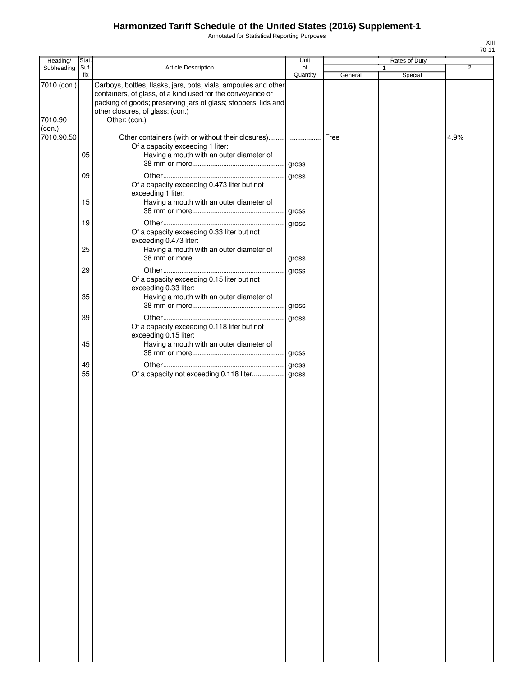Annotated for Statistical Reporting Purposes

| Heading/               | Stat.    |                                                                                                                                                                                                                                                      | Unit     |         | Rates of Duty |                |
|------------------------|----------|------------------------------------------------------------------------------------------------------------------------------------------------------------------------------------------------------------------------------------------------------|----------|---------|---------------|----------------|
| Subheading             | Suf-     | <b>Article Description</b>                                                                                                                                                                                                                           | of       |         |               | $\overline{2}$ |
|                        | fix      |                                                                                                                                                                                                                                                      | Quantity | General | Special       |                |
| 7010 (con.)<br>7010.90 |          | Carboys, bottles, flasks, jars, pots, vials, ampoules and other<br>containers, of glass, of a kind used for the conveyance or<br>packing of goods; preserving jars of glass; stoppers, lids and<br>other closures, of glass: (con.)<br>Other: (con.) |          |         |               |                |
| (con.)                 |          |                                                                                                                                                                                                                                                      |          |         |               |                |
| 7010.90.50             | 05       | Other containers (with or without their closures)    Free<br>Of a capacity exceeding 1 liter:<br>Having a mouth with an outer diameter of                                                                                                            |          |         |               | 4.9%           |
|                        |          |                                                                                                                                                                                                                                                      |          |         |               |                |
|                        | 09<br>15 | Of a capacity exceeding 0.473 liter but not<br>exceeding 1 liter:<br>Having a mouth with an outer diameter of                                                                                                                                        |          |         |               |                |
|                        |          |                                                                                                                                                                                                                                                      |          |         |               |                |
|                        | 19       | Of a capacity exceeding 0.33 liter but not<br>exceeding 0.473 liter:                                                                                                                                                                                 |          |         |               |                |
|                        | 25       | Having a mouth with an outer diameter of                                                                                                                                                                                                             |          |         |               |                |
|                        | 29       | Of a capacity exceeding 0.15 liter but not<br>exceeding 0.33 liter:                                                                                                                                                                                  |          |         |               |                |
|                        | 35       | Having a mouth with an outer diameter of                                                                                                                                                                                                             |          |         |               |                |
|                        | 39       | Of a capacity exceeding 0.118 liter but not<br>exceeding 0.15 liter:                                                                                                                                                                                 |          |         |               |                |
|                        | 45       | Having a mouth with an outer diameter of                                                                                                                                                                                                             |          |         |               |                |
|                        | 49<br>55 | Of a capacity not exceeding 0.118 liter gross                                                                                                                                                                                                        |          |         |               |                |
|                        |          |                                                                                                                                                                                                                                                      |          |         |               |                |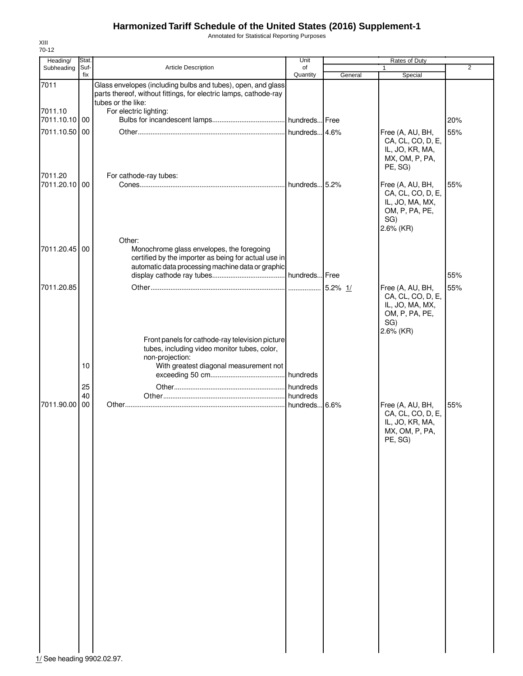Annotated for Statistical Reporting Purposes

| Heading/                   | Stat.       |                                                                                                                                                                  | Unit           |         | <b>Rates of Duty</b>                                                                           |                |
|----------------------------|-------------|------------------------------------------------------------------------------------------------------------------------------------------------------------------|----------------|---------|------------------------------------------------------------------------------------------------|----------------|
| Subheading                 | Suf-<br>fix | Article Description                                                                                                                                              | of<br>Quantity | General | $\mathbf{1}$<br>Special                                                                        | $\overline{2}$ |
| 7011                       |             | Glass envelopes (including bulbs and tubes), open, and glass<br>parts thereof, without fittings, for electric lamps, cathode-ray<br>tubes or the like:           |                |         |                                                                                                |                |
| 7011.10                    |             | For electric lighting:                                                                                                                                           |                |         |                                                                                                |                |
| 7011.10.10                 | 00          |                                                                                                                                                                  |                |         |                                                                                                | 20%            |
| 7011.10.50 00<br>7011.20   |             | For cathode-ray tubes:                                                                                                                                           |                |         | Free (A, AU, BH,<br>CA, CL, CO, D, E,<br>IL, JO, KR, MA,<br>MX, OM, P, PA,<br>PE, SG)          | 55%            |
| 7011.20.10 00              |             |                                                                                                                                                                  |                |         | Free (A, AU, BH,<br>CA, CL, CO, D, E,<br>IL, JO, MA, MX,<br>OM, P, PA, PE,<br>SG)<br>2.6% (KR) | 55%            |
| 7011.20.45 00              |             | Other:<br>Monochrome glass envelopes, the foregoing<br>certified by the importer as being for actual use in<br>automatic data processing machine data or graphic |                |         |                                                                                                |                |
|                            |             |                                                                                                                                                                  |                |         |                                                                                                | 55%            |
| 7011.20.85                 |             |                                                                                                                                                                  |                |         | Free (A, AU, BH,<br>CA, CL, CO, D, E,<br>IL, JO, MA, MX,<br>OM, P, PA, PE,<br>SG)<br>2.6% (KR) | 55%            |
|                            |             | Front panels for cathode-ray television picture<br>tubes, including video monitor tubes, color,<br>non-projection:                                               |                |         |                                                                                                |                |
|                            | 10          | With greatest diagonal measurement not                                                                                                                           |                |         |                                                                                                |                |
|                            | 25<br>40    |                                                                                                                                                                  |                |         |                                                                                                |                |
| 7011.90.00                 | 00          |                                                                                                                                                                  |                |         | Free (A, AU, BH,<br>CA, CL, CO, D, E,<br>IL, JO, KR, MA,<br>MX, OM, P, PA,<br>PE, SG)          | 55%            |
|                            |             |                                                                                                                                                                  |                |         |                                                                                                |                |
|                            |             |                                                                                                                                                                  |                |         |                                                                                                |                |
|                            |             |                                                                                                                                                                  |                |         |                                                                                                |                |
|                            |             |                                                                                                                                                                  |                |         |                                                                                                |                |
|                            |             |                                                                                                                                                                  |                |         |                                                                                                |                |
|                            |             |                                                                                                                                                                  |                |         |                                                                                                |                |
| 1/ See heading 9902.02.97. |             |                                                                                                                                                                  |                |         |                                                                                                |                |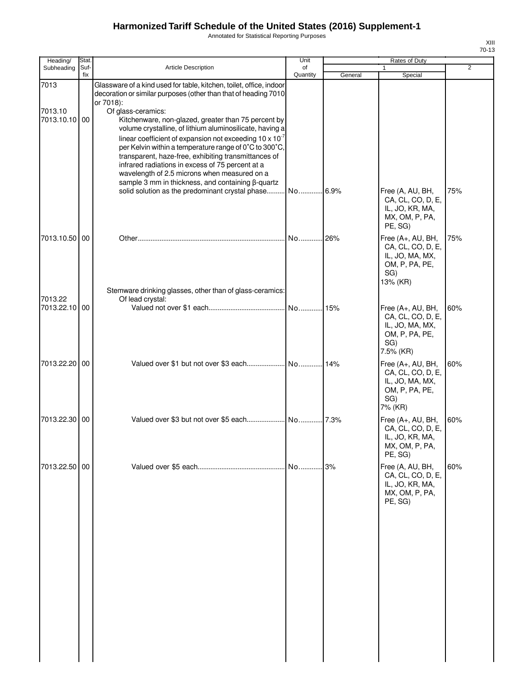Annotated for Statistical Reporting Purposes

| ı |  |
|---|--|
|   |  |

| Heading/                 | Stat.       |                                                                                                                                                                                                                                                                                                                                              | Unit           |         | Rates of Duty                                                                                  |     |
|--------------------------|-------------|----------------------------------------------------------------------------------------------------------------------------------------------------------------------------------------------------------------------------------------------------------------------------------------------------------------------------------------------|----------------|---------|------------------------------------------------------------------------------------------------|-----|
| Subheading               | Suf-<br>fix | Article Description                                                                                                                                                                                                                                                                                                                          | of<br>Quantity |         | 1                                                                                              | 2   |
| 7013                     |             | Glassware of a kind used for table, kitchen, toilet, office, indoor<br>decoration or similar purposes (other than that of heading 7010                                                                                                                                                                                                       |                | General | Special                                                                                        |     |
| 7013.10<br>7013.10.10 00 |             | or 7018):<br>Of glass-ceramics:<br>Kitchenware, non-glazed, greater than 75 percent by<br>volume crystalline, of lithium aluminosilicate, having a                                                                                                                                                                                           |                |         |                                                                                                |     |
|                          |             | linear coefficient of expansion not exceeding $10 \times 10^{-7}$<br>per Kelvin within a temperature range of 0°C to 300°C,<br>transparent, haze-free, exhibiting transmittances of<br>infrared radiations in excess of 75 percent at a<br>wavelength of 2.5 microns when measured on a<br>sample 3 mm in thickness, and containing β-quartz |                |         |                                                                                                |     |
|                          |             | solid solution as the predominant crystal phase                                                                                                                                                                                                                                                                                              | No             | .6.9%   | Free (A, AU, BH,<br>CA, CL, CO, D, E,<br>IL, JO, KR, MA,<br>MX, OM, P, PA,<br>PE, SG)          | 75% |
| 7013.10.50 00            |             |                                                                                                                                                                                                                                                                                                                                              | No             | 26%     | Free (A+, AU, BH,<br>CA, CL, CO, D, E,<br>IL, JO, MA, MX,<br>OM, P, PA, PE,<br>SG)<br>13% (KR) | 75% |
| 7013.22<br>7013.22.10 00 |             | Stemware drinking glasses, other than of glass-ceramics:<br>Of lead crystal:                                                                                                                                                                                                                                                                 | No             | 15%     | Free (A+, AU, BH,                                                                              | 60% |
|                          |             |                                                                                                                                                                                                                                                                                                                                              |                |         | CA, CL, CO, D, E,<br>IL, JO, MA, MX,<br>OM, P, PA, PE,<br>SG)<br>7.5% (KR)                     |     |
| 7013.22.20 00            |             |                                                                                                                                                                                                                                                                                                                                              |                | .14%    | Free (A+, AU, BH,<br>CA, CL, CO, D, E,<br>IL, JO, MA, MX,<br>OM, P, PA, PE,<br>SG)<br>7% (KR)  | 60% |
| 7013.22.30 00            |             |                                                                                                                                                                                                                                                                                                                                              |                |         | Free (A+, AU, BH,<br>CA, CL, CO, D, E,<br>IL, JO, KR, MA,<br>MX, OM, P, PA,<br>PE, SG)         | 60% |
| 7013.22.50 00            |             |                                                                                                                                                                                                                                                                                                                                              | No             | .3%     | Free (A, AU, BH,<br>CA, CL, CO, D, E,<br>IL, JO, KR, MA,<br>MX, OM, P, PA,<br>PE, SG)          | 60% |
|                          |             |                                                                                                                                                                                                                                                                                                                                              |                |         |                                                                                                |     |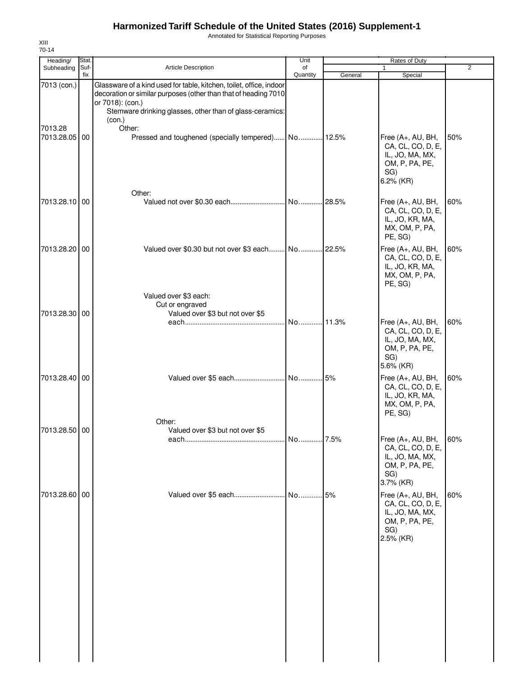Annotated for Statistical Reporting Purposes

| Heading/              | Stat.       |                                                                                                                                                                                                                                  | Unit           |         | Rates of Duty                                                                                   |                |
|-----------------------|-------------|----------------------------------------------------------------------------------------------------------------------------------------------------------------------------------------------------------------------------------|----------------|---------|-------------------------------------------------------------------------------------------------|----------------|
| Subheading            | Suf-<br>fix | <b>Article Description</b>                                                                                                                                                                                                       | of<br>Quantity | General | Special                                                                                         | $\overline{2}$ |
| 7013 (con.)           |             | Glassware of a kind used for table, kitchen, toilet, office, indoor<br>decoration or similar purposes (other than that of heading 7010<br>or 7018): (con.)<br>Stemware drinking glasses, other than of glass-ceramics:<br>(con.) |                |         |                                                                                                 |                |
| 7013.28<br>7013.28.05 | 00          | Other:<br>Pressed and toughened (specially tempered) No 12.5%                                                                                                                                                                    |                |         | Free (A+, AU, BH,<br>CA, CL, CO, D, E,<br>IL, JO, MA, MX,<br>OM, P, PA, PE,<br>SG)<br>6.2% (KR) | 50%            |
| 7013.28.10 00         |             | Other:<br>Valued not over \$0.30 each                                                                                                                                                                                            | No             | .28.5%  | Free (A+, AU, BH,<br>CA, CL, CO, D, E,<br>IL, JO, KR, MA,<br>MX, OM, P, PA,<br>PE, SG)          | 60%            |
| 7013.28.20            | 00          | Valued over \$0.30 but not over \$3 each No 22.5%<br>Valued over \$3 each:                                                                                                                                                       |                |         | Free (A+, AU, BH,<br>CA, CL, CO, D, E,<br>IL, JO, KR, MA,<br>MX, OM, P, PA,<br>PE, SG)          | 60%            |
| 7013.28.30 00         |             | Cut or engraved<br>Valued over \$3 but not over \$5                                                                                                                                                                              |                |         | Free (A+, AU, BH,<br>CA, CL, CO, D, E,<br>IL, JO, MA, MX,<br>OM, P, PA, PE,<br>SG)<br>5.6% (KR) | 60%            |
| 7013.28.40 00         |             |                                                                                                                                                                                                                                  |                |         | Free (A+, AU, BH,<br>CA, CL, CO, D, E,<br>IL, JO, KR, MA,<br>MX, OM, P, PA,<br>PE, SG)          | 60%            |
| 7013.28.50 00         |             | Other:<br>Valued over \$3 but not over \$5                                                                                                                                                                                       | No 7.5%        |         | Free (A+, AU, BH,<br>CA, CL, CO, D, E,<br>IL, JO, MA, MX,<br>OM, P, PA, PE,<br>SG)<br>3.7% (KR) | 60%            |
| 7013.28.60 00         |             | Valued over \$5 each                                                                                                                                                                                                             | . No           | .15%    | Free (A+, AU, BH,<br>CA, CL, CO, D, E,<br>IL, JO, MA, MX,<br>OM, P, PA, PE,<br>SG)<br>2.5% (KR) | 60%            |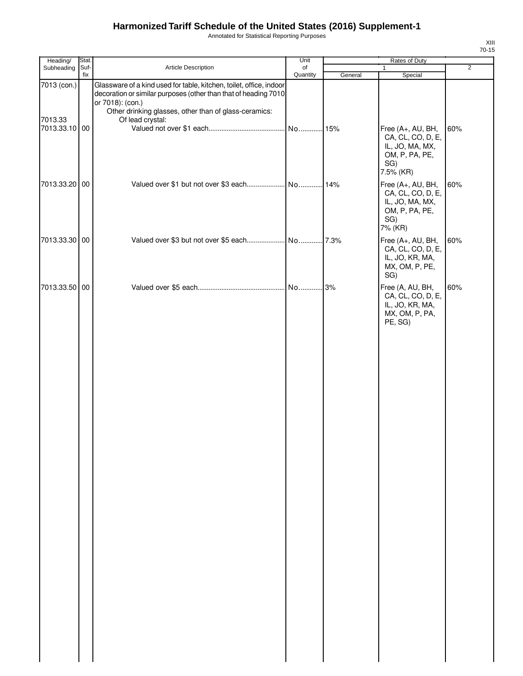Annotated for Statistical Reporting Purposes

| Heading/                                | Stat. |                                                                                                                                                                                                                                         | Unit           | Rates of Duty |                                                                                                 |                |
|-----------------------------------------|-------|-----------------------------------------------------------------------------------------------------------------------------------------------------------------------------------------------------------------------------------------|----------------|---------------|-------------------------------------------------------------------------------------------------|----------------|
| Subheading Suf-                         | fix   | Article Description                                                                                                                                                                                                                     | of<br>Quantity | General       | $\mathbf{1}$<br>Special                                                                         | $\overline{2}$ |
| 7013 (con.)<br>7013.33<br>7013.33.10 00 |       | Glassware of a kind used for table, kitchen, toilet, office, indoor<br>decoration or similar purposes (other than that of heading 7010<br>or 7018): (con.)<br>Other drinking glasses, other than of glass-ceramics:<br>Of lead crystal: |                |               | Free (A+, AU, BH,<br>CA, CL, CO, D, E,<br>IL, JO, MA, MX,<br>OM, P, PA, PE,<br>SG)<br>7.5% (KR) | 60%            |
| 7013.33.20 00                           |       |                                                                                                                                                                                                                                         |                |               | Free (A+, AU, BH,<br>CA, CL, CO, D, E,<br>IL, JO, MA, MX,<br>OM, P, PA, PE,<br>SG)<br>7% (KR)   | 60%            |
| 7013.33.30 00                           |       |                                                                                                                                                                                                                                         |                |               | Free (A+, AU, BH,<br>CA, CL, CO, D, E,<br>IL, JO, KR, MA,<br>MX, OM, P, PE,<br>SG)              | 60%            |
| 7013.33.50 00                           |       |                                                                                                                                                                                                                                         |                |               | Free (A, AU, BH,<br>CA, CL, CO, D, E,<br>IL, JO, KR, MA,<br>MX, OM, P, PA,<br>PE, SG)           | 60%            |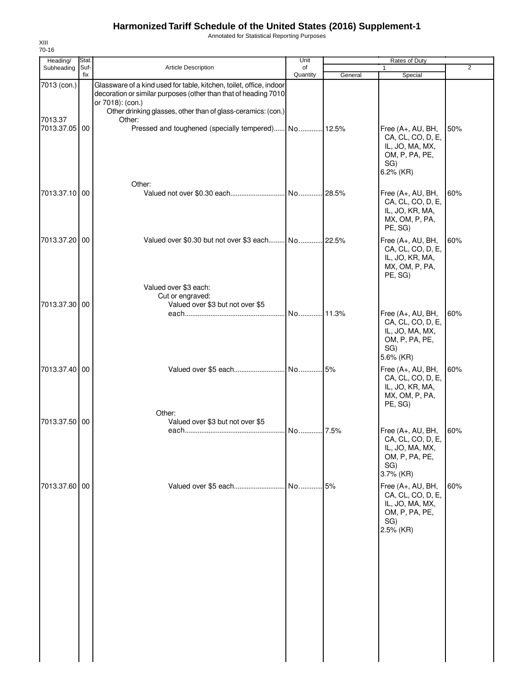Annotated for Statistical Reporting Purposes

| Heading/      | Stat.       |                                                                                                                                                            | Unit           |         | Rates of Duty                                                                                   |     |
|---------------|-------------|------------------------------------------------------------------------------------------------------------------------------------------------------------|----------------|---------|-------------------------------------------------------------------------------------------------|-----|
| Subheading    | Suf-<br>fix | <b>Article Description</b>                                                                                                                                 | of<br>Quantity | General | Special                                                                                         | 2   |
| 7013 (con.)   |             | Glassware of a kind used for table, kitchen, toilet, office, indoor<br>decoration or similar purposes (other than that of heading 7010<br>or 7018): (con.) |                |         |                                                                                                 |     |
| 7013.37       |             | Other drinking glasses, other than of glass-ceramics: (con.)<br>Other:                                                                                     |                |         |                                                                                                 |     |
| 7013.37.05 00 |             | Pressed and toughened (specially tempered) No 12.5%<br>Other:                                                                                              |                |         | Free (A+, AU, BH,<br>CA, CL, CO, D, E,<br>IL, JO, MA, MX,<br>OM, P, PA, PE,<br>SG)<br>6.2% (KR) | 50% |
| 7013.37.10 00 |             |                                                                                                                                                            |                |         | Free (A+, AU, BH,<br>CA, CL, CO, D, E,<br>IL, JO, KR, MA,<br>MX, OM, P, PA,<br>PE, SG)          | 60% |
| 7013.37.20 00 |             | Valued over \$0.30 but not over \$3 each No 22.5%                                                                                                          |                |         | Free (A+, AU, BH,<br>CA, CL, CO, D, E,<br>IL, JO, KR, MA,<br>MX, OM, P, PA,<br>PE, SG)          | 60% |
| 7013.37.30 00 |             | Valued over \$3 each:<br>Cut or engraved:<br>Valued over \$3 but not over \$5                                                                              |                |         |                                                                                                 |     |
|               |             |                                                                                                                                                            | No 11.3%       |         | Free (A+, AU, BH,<br>CA, CL, CO, D, E,<br>IL, JO, MA, MX,<br>OM, P, PA, PE,<br>SG)<br>5.6% (KR) | 60% |
| 7013.37.40 00 |             | Other:                                                                                                                                                     |                |         | Free (A+, AU, BH,<br>CA, CL, CO, D, E,<br>IL, JO, KR, MA,<br>MX, OM, P, PA,<br>PE, SG)          | 60% |
| 7013.37.50 00 |             | Valued over \$3 but not over \$5                                                                                                                           |                |         |                                                                                                 |     |
|               |             |                                                                                                                                                            |                |         | Free (A+, AU, BH,<br>CA, CL, CO, D, E,<br>IL, JO, MA, MX,<br>OM, P, PA, PE,<br>SG)<br>3.7% (KR) | 60% |
| 7013.37.60 00 |             |                                                                                                                                                            |                | .5%     | Free (A+, AU, BH,<br>CA, CL, CO, D, E,<br>IL, JO, MA, MX,<br>OM, P, PA, PE,<br>SG)<br>2.5% (KR) | 60% |
|               |             |                                                                                                                                                            |                |         |                                                                                                 |     |
|               |             |                                                                                                                                                            |                |         |                                                                                                 |     |
|               |             |                                                                                                                                                            |                |         |                                                                                                 |     |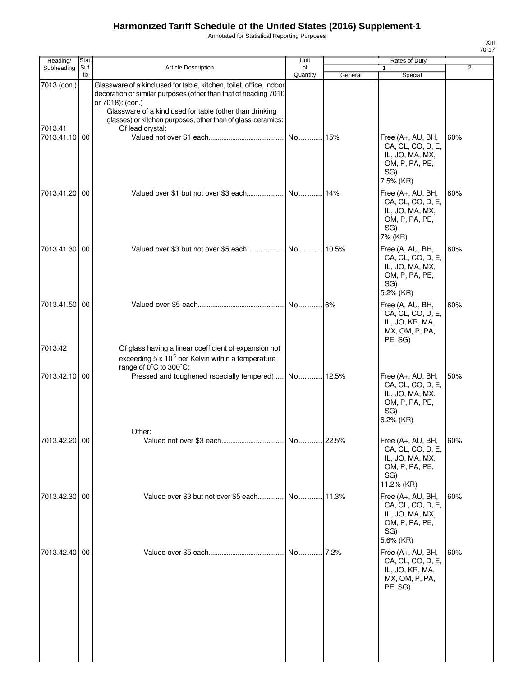Annotated for Statistical Reporting Purposes

| Heading/                 | Stat.       |                                                                                                                                                                                                                                                                                      | Unit           |         | Rates of Duty                                                                                        |                |
|--------------------------|-------------|--------------------------------------------------------------------------------------------------------------------------------------------------------------------------------------------------------------------------------------------------------------------------------------|----------------|---------|------------------------------------------------------------------------------------------------------|----------------|
| Subheading               | Suf-<br>fix | <b>Article Description</b>                                                                                                                                                                                                                                                           | of<br>Quantity | General | 1<br>Special                                                                                         | $\overline{2}$ |
| 7013 (con.)              |             | Glassware of a kind used for table, kitchen, toilet, office, indoor<br>decoration or similar purposes (other than that of heading 7010<br>or 7018): (con.)<br>Glassware of a kind used for table (other than drinking<br>glasses) or kitchen purposes, other than of glass-ceramics: |                |         |                                                                                                      |                |
| 7013.41<br>7013.41.10 00 |             | Of lead crystal:                                                                                                                                                                                                                                                                     |                |         | Free (A+, AU, BH,<br>CA, CL, CO, D, E,<br>IL, JO, MA, MX,<br>OM, P, PA, PE,<br>SG)<br>7.5% (KR)      | 60%            |
| 7013.41.20 00            |             |                                                                                                                                                                                                                                                                                      |                |         | Free (A+, AU, BH,<br>CA, CL, CO, D, E,<br>IL, JO, MA, MX,<br>OM, P, PA, PE,<br>SG)<br>7% (KR)        | 60%            |
| 7013.41.30 00            |             |                                                                                                                                                                                                                                                                                      |                |         | Free (A, AU, BH,<br>CA, CL, CO, D, E,<br>IL, JO, MA, MX,<br>OM, P, PA, PE,<br>SG)<br>5.2% (KR)       | 60%            |
| 7013.41.50 00<br>7013.42 |             | Of glass having a linear coefficient of expansion not                                                                                                                                                                                                                                |                |         | Free (A, AU, BH,<br>CA, CL, CO, D, E,<br>IL, JO, KR, MA,<br>MX, OM, P, PA,<br>PE, SG)                | 60%            |
|                          |             | exceeding $5 \times 10^{-6}$ per Kelvin within a temperature<br>range of 0°C to 300°C:                                                                                                                                                                                               |                |         |                                                                                                      |                |
| 7013.42.10 00            |             | Pressed and toughened (specially tempered) No 12.5%                                                                                                                                                                                                                                  |                |         | Free (A+, AU, BH,<br>CA, CL, CO, D, E,<br>IL, JO, MA, MX,<br>OM, P, PA, PE,<br>SG)<br>6.2% (KR)      | 50%            |
| 7013.42.20 00            |             | Other:                                                                                                                                                                                                                                                                               |                |         | Free (A+, AU, BH,<br>CA, CL, CO, D, E,<br>IL, JO, MA, MX,<br>OM, P, PA, PE,<br>SG)<br>11.2% (KR)     | 60%            |
| 7013.42.30 00            |             |                                                                                                                                                                                                                                                                                      |                |         | Free $(A+, AU, BH,$<br>CA, CL, CO, D, E,<br>IL, JO, MA, MX,<br>OM, P, PA, PE,<br>SG)<br>$5.6\%$ (KR) | 60%            |
| 7013.42.40 00            |             |                                                                                                                                                                                                                                                                                      |                | 17.2%   | Free (A+, AU, BH,<br>CA, CL, CO, D, E,<br>IL, JO, KR, MA,<br>MX, OM, P, PA,<br>PE, SG)               | 60%            |
|                          |             |                                                                                                                                                                                                                                                                                      |                |         |                                                                                                      |                |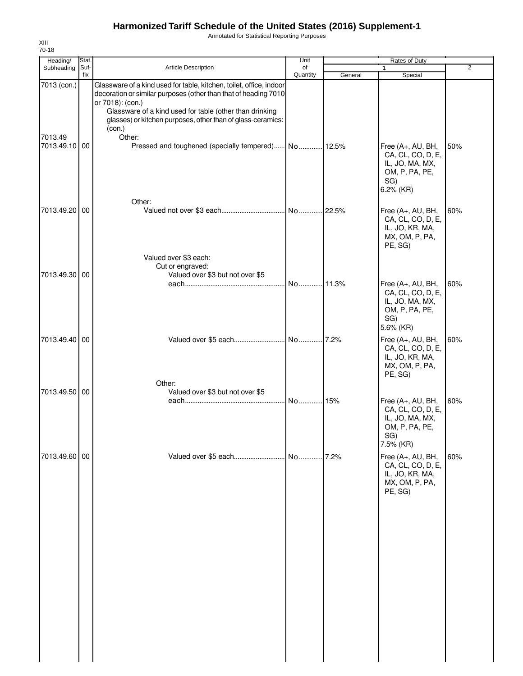Annotated for Statistical Reporting Purposes

| Heading/                 | Stat.       |                                                                                                                                                                                                                                                                                                | Unit           |         | Rates of Duty                                                                                   |                |
|--------------------------|-------------|------------------------------------------------------------------------------------------------------------------------------------------------------------------------------------------------------------------------------------------------------------------------------------------------|----------------|---------|-------------------------------------------------------------------------------------------------|----------------|
| Subheading               | Suf-<br>fix | Article Description                                                                                                                                                                                                                                                                            | of<br>Quantity | General | Special                                                                                         | $\overline{2}$ |
| 7013 (con.)              |             | Glassware of a kind used for table, kitchen, toilet, office, indoor<br>decoration or similar purposes (other than that of heading 7010<br>or 7018): (con.)<br>Glassware of a kind used for table (other than drinking<br>glasses) or kitchen purposes, other than of glass-ceramics:<br>(con.) |                |         |                                                                                                 |                |
| 7013.49<br>7013.49.10 00 |             | Other:<br>Pressed and toughened (specially tempered) No 12.5%                                                                                                                                                                                                                                  |                |         | Free (A+, AU, BH,<br>CA, CL, CO, D, E,<br>IL, JO, MA, MX,<br>OM, P, PA, PE,<br>SG)<br>6.2% (KR) | 50%            |
| 7013.49.20               | 00          | Other:                                                                                                                                                                                                                                                                                         |                |         | Free (A+, AU, BH,<br>CA, CL, CO, D, E,<br>IL, JO, KR, MA,<br>MX, OM, P, PA,<br>PE, SG)          | 60%            |
| 7013.49.30 00            |             | Valued over \$3 each:<br>Cut or engraved:<br>Valued over \$3 but not over \$5                                                                                                                                                                                                                  |                |         | Free (A+, AU, BH,<br>CA, CL, CO, D, E,<br>IL, JO, MA, MX,<br>OM, P, PA, PE,<br>SG)<br>5.6% (KR) | 60%            |
| 7013.49.40 00            |             | Other:                                                                                                                                                                                                                                                                                         |                |         | Free (A+, AU, BH,<br>CA, CL, CO, D, E,<br>IL, JO, KR, MA,<br>MX, OM, P, PA,<br>PE, SG)          | 60%            |
| 7013.49.50 00            |             | Valued over \$3 but not over \$5                                                                                                                                                                                                                                                               | No15%          |         | Free (A+, AU, BH,<br>CA, CL, CO, D, E,<br>IL, JO, MA, MX,<br>OM, P, PA, PE,<br>SG)<br>7.5% (KR) | 60%            |
| 7013.49.60 00            |             |                                                                                                                                                                                                                                                                                                |                |         | Free (A+, AU, BH,<br>CA, CL, CO, D, E,<br>IL, JO, KR, MA,<br>MX, OM, P, PA,<br>PE, SG)          | 60%            |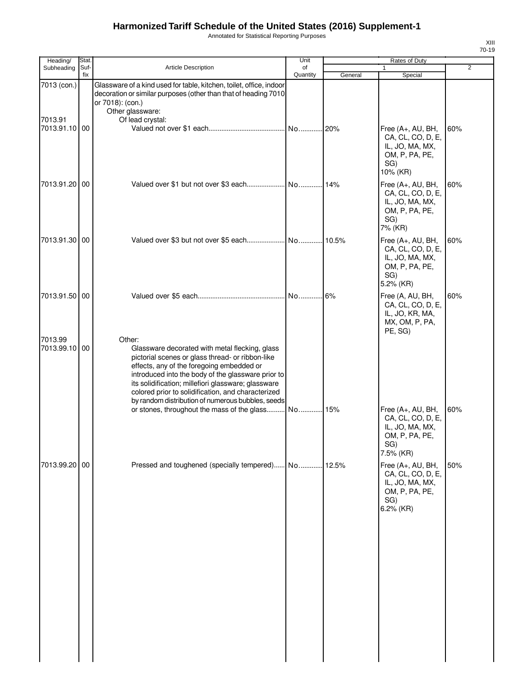Annotated for Statistical Reporting Purposes

| Heading/                                | Stat.       |                                                                                                                                                                                                                                                                                                                                                                                   | Unit           |         | Rates of Duty                                                                                   |                |
|-----------------------------------------|-------------|-----------------------------------------------------------------------------------------------------------------------------------------------------------------------------------------------------------------------------------------------------------------------------------------------------------------------------------------------------------------------------------|----------------|---------|-------------------------------------------------------------------------------------------------|----------------|
| Subheading                              | Suf-<br>fix | <b>Article Description</b>                                                                                                                                                                                                                                                                                                                                                        | of<br>Quantity | General | 1<br>Special                                                                                    | $\overline{2}$ |
| 7013 (con.)<br>7013.91<br>7013.91.10 00 |             | Glassware of a kind used for table, kitchen, toilet, office, indoor<br>decoration or similar purposes (other than that of heading 7010<br>or 7018): (con.)<br>Other glassware:<br>Of lead crystal:                                                                                                                                                                                | No 20%         |         | Free (A+, AU, BH,                                                                               | 60%            |
|                                         |             |                                                                                                                                                                                                                                                                                                                                                                                   |                |         | CA, CL, CO, D, E,<br>IL, JO, MA, MX,<br>OM, P, PA, PE,<br>SG)<br>10% (KR)                       |                |
| 7013.91.20 00                           |             |                                                                                                                                                                                                                                                                                                                                                                                   |                |         | Free (A+, AU, BH,<br>CA, CL, CO, D, E,<br>IL, JO, MA, MX,<br>OM, P, PA, PE,<br>SG)<br>7% (KR)   | 60%            |
| 7013.91.30 00                           |             |                                                                                                                                                                                                                                                                                                                                                                                   | No             | 10.5%   | Free (A+, AU, BH,<br>CA, CL, CO, D, E,<br>IL, JO, MA, MX,<br>OM, P, PA, PE,<br>SG)<br>5.2% (KR) | 60%            |
| 7013.91.50 00                           |             |                                                                                                                                                                                                                                                                                                                                                                                   | No 6%          |         | Free (A, AU, BH,<br>CA, CL, CO, D, E,<br>IL, JO, KR, MA,<br>MX, OM, P, PA,<br>PE, SG)           | 60%            |
| 7013.99<br>7013.99.10 00                |             | Other:<br>Glassware decorated with metal flecking, glass<br>pictorial scenes or glass thread- or ribbon-like<br>effects, any of the foregoing embedded or<br>introduced into the body of the glassware prior to<br>its solidification; millefiori glassware; glassware<br>colored prior to solidification, and characterized<br>by random distribution of numerous bubbles, seeds |                |         |                                                                                                 |                |
|                                         |             | or stones, throughout the mass of the glass                                                                                                                                                                                                                                                                                                                                       | No             | 15%     | Free (A+, AU, BH,<br>CA, CL, CO, D, E,<br>IL, JO, MA, MX,<br>OM, P, PA, PE,<br>SG)<br>7.5% (KR) | 60%            |
| 7013.99.20 00                           |             | Pressed and toughened (specially tempered) No                                                                                                                                                                                                                                                                                                                                     |                | 12.5%   | Free (A+, AU, BH,<br>CA, CL, CO, D, E,<br>IL, JO, MA, MX,<br>OM, P, PA, PE,<br>SG)<br>6.2% (KR) | 50%            |
|                                         |             |                                                                                                                                                                                                                                                                                                                                                                                   |                |         |                                                                                                 |                |
|                                         |             |                                                                                                                                                                                                                                                                                                                                                                                   |                |         |                                                                                                 |                |
|                                         |             |                                                                                                                                                                                                                                                                                                                                                                                   |                |         |                                                                                                 |                |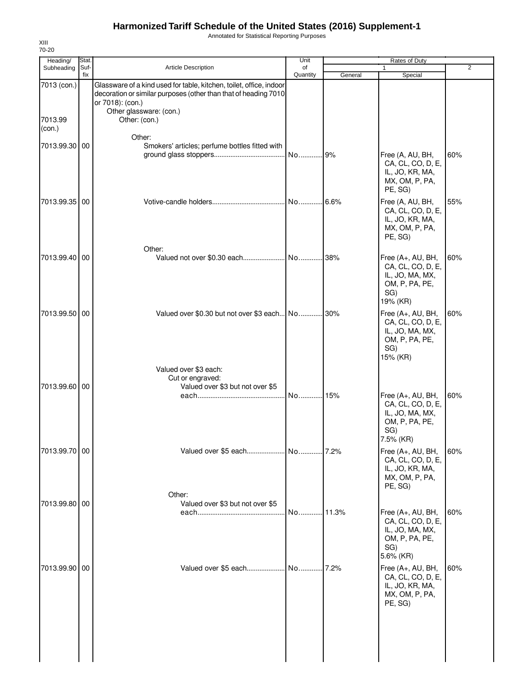Annotated for Statistical Reporting Purposes

| Heading/               | Stat.       |                                                                                                                                                                                                        | Unit           |         | Rates of Duty                                                                                    |                |
|------------------------|-------------|--------------------------------------------------------------------------------------------------------------------------------------------------------------------------------------------------------|----------------|---------|--------------------------------------------------------------------------------------------------|----------------|
| Subheading             | Suf-<br>fix | <b>Article Description</b>                                                                                                                                                                             | of<br>Quantity | General | 1<br>Special                                                                                     | $\overline{2}$ |
| 7013 (con.)<br>7013.99 |             | Glassware of a kind used for table, kitchen, toilet, office, indoor<br>decoration or similar purposes (other than that of heading 7010<br>or 7018): (con.)<br>Other glassware: (con.)<br>Other: (con.) |                |         |                                                                                                  |                |
| (con.)                 |             |                                                                                                                                                                                                        |                |         |                                                                                                  |                |
| 7013.99.30 00          |             | Other:<br>Smokers' articles; perfume bottles fitted with                                                                                                                                               | No             | 9%      | Free (A, AU, BH,<br>CA, CL, CO, D, E,<br>IL, JO, KR, MA,<br>MX, OM, P, PA,                       | 60%            |
| 7013.99.35             | 00          |                                                                                                                                                                                                        | No 6.6%        |         | PE, SG)<br>Free (A, AU, BH,<br>CA, CL, CO, D, E,<br>IL, JO, KR, MA,<br>MX, OM, P, PA,<br>PE, SG) | 55%            |
| 7013.99.40 00          |             | Other:                                                                                                                                                                                                 |                | 38%     | Free (A+, AU, BH,<br>CA, CL, CO, D, E,<br>IL, JO, MA, MX,<br>OM, P, PA, PE,<br>SG)<br>19% (KR)   | 60%            |
| 7013.99.50             | 00          | Valued over \$0.30 but not over \$3 each No                                                                                                                                                            |                | 30%     | Free (A+, AU, BH,<br>CA, CL, CO, D, E,<br>IL, JO, MA, MX,<br>OM, P, PA, PE,<br>SG)<br>15% (KR)   | 60%            |
| 7013.99.60 00          |             | Valued over \$3 each:<br>Cut or engraved:<br>Valued over \$3 but not over \$5                                                                                                                          | No             | 15%     | Free (A+, AU, BH,<br>CA, CL, CO, D, E,<br>IL, JO, MA, MX,<br>OM, P, PA, PE,<br>SG)<br>7.5% (KR)  | 60%            |
| 7013.99.70 00          |             | Valued over \$5 each No 7.2%                                                                                                                                                                           |                |         | Free (A+, AU, BH,<br>CA, CL, CO, D, E,<br>IL, JO, KR, MA,<br>MX, OM, P, PA,<br>PE, SG)           | 60%            |
| 7013.99.80             | 00          | Other:<br>Valued over \$3 but not over \$5                                                                                                                                                             |                |         | Free (A+, AU, BH,<br>CA, CL, CO, D, E,<br>IL, JO, MA, MX,<br>OM, P, PA, PE,<br>SG)<br>5.6% (KR)  | 60%            |
| 7013.99.90             | 00          | Valued over \$5 each                                                                                                                                                                                   | . No.  7.2%    |         | Free (A+, AU, BH,<br>CA, CL, CO, D, E,<br>IL, JO, KR, MA,<br>MX, OM, P, PA,<br>PE, SG)           | 60%            |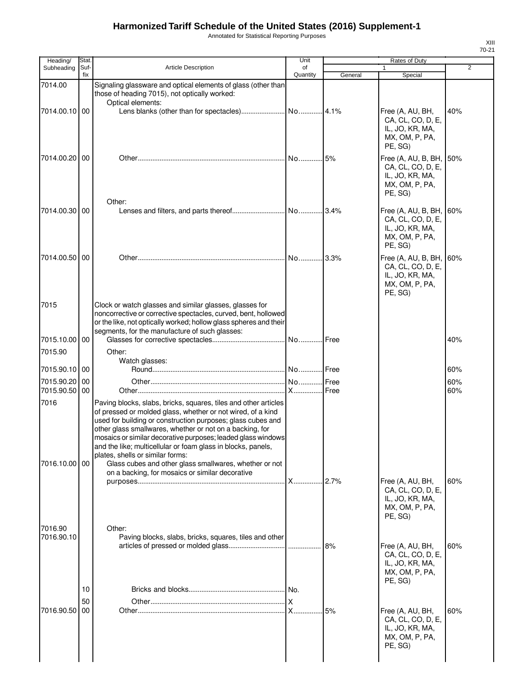Annotated for Statistical Reporting Purposes

| Heading/              | Stat.       |                                                                                                                                                                                                                                                                                                                                                                                                                                                                                                                                            | Unit           |         | Rates of Duty                                                                            |                |
|-----------------------|-------------|--------------------------------------------------------------------------------------------------------------------------------------------------------------------------------------------------------------------------------------------------------------------------------------------------------------------------------------------------------------------------------------------------------------------------------------------------------------------------------------------------------------------------------------------|----------------|---------|------------------------------------------------------------------------------------------|----------------|
| Subheading            | Suf-<br>fix | <b>Article Description</b>                                                                                                                                                                                                                                                                                                                                                                                                                                                                                                                 | of<br>Quantity | General | 1<br>Special                                                                             | $\overline{2}$ |
| 7014.00               |             | Signaling glassware and optical elements of glass (other than<br>those of heading 7015), not optically worked:<br>Optical elements:                                                                                                                                                                                                                                                                                                                                                                                                        |                |         |                                                                                          |                |
| 7014.00.10 00         |             |                                                                                                                                                                                                                                                                                                                                                                                                                                                                                                                                            |                |         | Free (A, AU, BH,<br>CA, CL, CO, D, E,<br>IL, JO, KR, MA,<br>MX, OM, P, PA,<br>PE, SG)    | 40%            |
| 7014.00.20 00         |             |                                                                                                                                                                                                                                                                                                                                                                                                                                                                                                                                            |                | 5%      | Free (A, AU, B, BH,<br>CA, CL, CO, D, E,<br>IL, JO, KR, MA,<br>MX, OM, P, PA,<br>PE, SG) | 50%            |
| 7014.00.30   00       |             | Other:                                                                                                                                                                                                                                                                                                                                                                                                                                                                                                                                     |                |         | Free (A, AU, B, BH,<br>CA, CL, CO, D, E,<br>IL, JO, KR, MA,<br>MX, OM, P, PA,<br>PE, SG) | 60%            |
| 7014.00.50 00         |             |                                                                                                                                                                                                                                                                                                                                                                                                                                                                                                                                            |                |         | Free (A, AU, B, BH,<br>CA, CL, CO, D, E,<br>IL, JO, KR, MA,<br>MX, OM, P, PA,<br>PE, SG) | 60%            |
| 7015                  |             | Clock or watch glasses and similar glasses, glasses for<br>noncorrective or corrective spectacles, curved, bent, hollowed<br>or the like, not optically worked; hollow glass spheres and their<br>segments, for the manufacture of such glasses:                                                                                                                                                                                                                                                                                           |                |         |                                                                                          |                |
| 7015.10.00            | 00          |                                                                                                                                                                                                                                                                                                                                                                                                                                                                                                                                            |                |         |                                                                                          | 40%            |
| 7015.90               |             | Other:                                                                                                                                                                                                                                                                                                                                                                                                                                                                                                                                     |                |         |                                                                                          |                |
| 7015.90.10 00         |             | Watch glasses:                                                                                                                                                                                                                                                                                                                                                                                                                                                                                                                             |                |         |                                                                                          | 60%            |
| 7015.90.20            | 00          |                                                                                                                                                                                                                                                                                                                                                                                                                                                                                                                                            |                |         |                                                                                          | 60%            |
| 7015.90.50            | 00          |                                                                                                                                                                                                                                                                                                                                                                                                                                                                                                                                            |                |         |                                                                                          | 60%            |
| 7016<br>7016.10.00 00 |             | Paving blocks, slabs, bricks, squares, tiles and other articles<br>of pressed or molded glass, whether or not wired, of a kind<br>used for building or construction purposes; glass cubes and<br>other glass smallwares, whether or not on a backing, for<br>mosaics or similar decorative purposes; leaded glass windows<br>and the like; multicellular or foam glass in blocks, panels,<br>plates, shells or similar forms:<br>Glass cubes and other glass smallwares, whether or not<br>on a backing, for mosaics or similar decorative |                |         |                                                                                          |                |
| 7016.90               |             | Other:                                                                                                                                                                                                                                                                                                                                                                                                                                                                                                                                     |                | 2.7%    | Free (A, AU, BH,<br>CA, CL, CO, D, E,<br>IL, JO, KR, MA,<br>MX, OM, P, PA,<br>PE, SG)    | 60%            |
| 7016.90.10            |             | Paving blocks, slabs, bricks, squares, tiles and other                                                                                                                                                                                                                                                                                                                                                                                                                                                                                     |                | 8%      | Free (A, AU, BH,<br>CA, CL, CO, D, E,<br>IL, JO, KR, MA,<br>MX, OM, P, PA,<br>PE, SG)    | 60%            |
|                       | 10<br>50    |                                                                                                                                                                                                                                                                                                                                                                                                                                                                                                                                            |                |         |                                                                                          |                |
| 7016.90.50            | 00          |                                                                                                                                                                                                                                                                                                                                                                                                                                                                                                                                            |                | .15%    | Free (A, AU, BH,<br>CA, CL, CO, D, E,<br>IL, JO, KR, MA,<br>MX, OM, P, PA,<br>PE, SG)    | 60%            |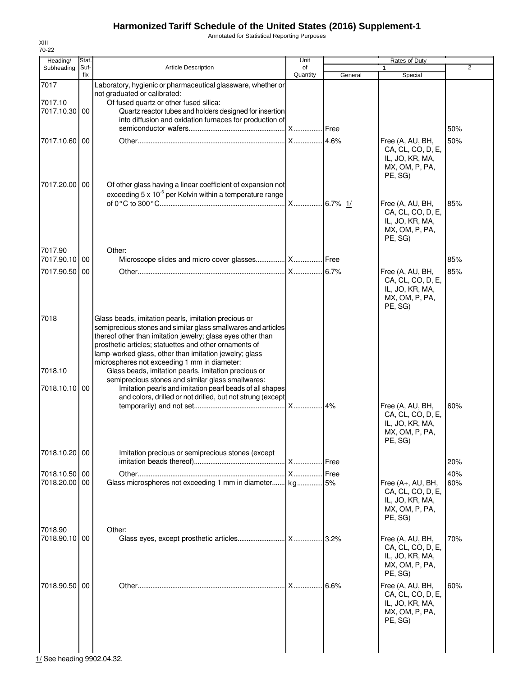Annotated for Statistical Reporting Purposes

| Heading/                         | Stat.       |                                                                                                                                                                                                                                                                                                                                                                                                                                                                                                                                                                                                 | Unit           |             | Rates of Duty                                                                          |                |
|----------------------------------|-------------|-------------------------------------------------------------------------------------------------------------------------------------------------------------------------------------------------------------------------------------------------------------------------------------------------------------------------------------------------------------------------------------------------------------------------------------------------------------------------------------------------------------------------------------------------------------------------------------------------|----------------|-------------|----------------------------------------------------------------------------------------|----------------|
| Subheading                       | Suf-<br>fix | <b>Article Description</b>                                                                                                                                                                                                                                                                                                                                                                                                                                                                                                                                                                      | of<br>Quantity | General     | $\mathbf{1}$<br>Special                                                                | $\overline{2}$ |
| 7017<br>7017.10<br>7017.10.30 00 |             | Laboratory, hygienic or pharmaceutical glassware, whether or<br>not graduated or calibrated:<br>Of fused quartz or other fused silica:<br>Quartz reactor tubes and holders designed for insertion<br>into diffusion and oxidation furnaces for production of                                                                                                                                                                                                                                                                                                                                    | <b>X</b> Free  |             |                                                                                        | 50%            |
| 7017.10.60 00                    |             |                                                                                                                                                                                                                                                                                                                                                                                                                                                                                                                                                                                                 | <b>X</b>       | .4.6%       | Free (A, AU, BH,<br>CA, CL, CO, D, E,<br>IL, JO, KR, MA,<br>MX, OM, P, PA,<br>PE, SG)  | 50%            |
| 7017.20.00 00                    |             | Of other glass having a linear coefficient of expansion not<br>exceeding $5 \times 10^{-6}$ per Kelvin within a temperature range                                                                                                                                                                                                                                                                                                                                                                                                                                                               | X              | $.6.7\%$ 1/ | Free (A, AU, BH,<br>CA, CL, CO, D, E,<br>IL, JO, KR, MA,<br>MX, OM, P, PA,<br>PE, SG)  | 85%            |
| 7017.90<br>7017.90.10 00         |             | Other:<br>Microscope slides and micro cover glasses  X  Free                                                                                                                                                                                                                                                                                                                                                                                                                                                                                                                                    |                |             |                                                                                        | 85%            |
| 7017.90.50 00                    |             |                                                                                                                                                                                                                                                                                                                                                                                                                                                                                                                                                                                                 |                | .6.7%       | Free (A, AU, BH,<br>CA, CL, CO, D, E,<br>IL, JO, KR, MA,<br>MX, OM, P, PA,<br>PE, SG)  | 85%            |
| 7018<br>7018.10<br>7018.10.10 00 |             | Glass beads, imitation pearls, imitation precious or<br>semiprecious stones and similar glass smallwares and articles<br>thereof other than imitation jewelry; glass eyes other than<br>prosthetic articles; statuettes and other ornaments of<br>lamp-worked glass, other than imitation jewelry; glass<br>microspheres not exceeding 1 mm in diameter:<br>Glass beads, imitation pearls, imitation precious or<br>semiprecious stones and similar glass smallwares:<br>Imitation pearls and imitation pearl beads of all shapes<br>and colors, drilled or not drilled, but not strung (except | <b>X</b>       | 4%          | Free (A, AU, BH,                                                                       | 60%            |
| 7018.10.20 00                    |             | Imitation precious or semiprecious stones (except                                                                                                                                                                                                                                                                                                                                                                                                                                                                                                                                               |                |             | CA, CL, CO, D, E,<br>IL, JO, KR, MA,<br>MX, OM, P, PA,<br>PE, SG)                      |                |
|                                  |             |                                                                                                                                                                                                                                                                                                                                                                                                                                                                                                                                                                                                 | <b>X</b>       | Free        |                                                                                        | 20%            |
| 7018.10.50 00                    |             |                                                                                                                                                                                                                                                                                                                                                                                                                                                                                                                                                                                                 | <b>X</b>       | Free        |                                                                                        | 40%            |
| 7018.20.00 00                    |             | Glass microspheres not exceeding 1 mm in diameter                                                                                                                                                                                                                                                                                                                                                                                                                                                                                                                                               | kg             | 5%          | Free (A+, AU, BH,<br>CA, CL, CO, D, E,<br>IL, JO, KR, MA,<br>MX, OM, P, PA,<br>PE. SG) | 60%            |
| 7018.90<br>7018.90.10 00         |             | Other:                                                                                                                                                                                                                                                                                                                                                                                                                                                                                                                                                                                          |                | 3.2%        | Free (A, AU, BH,<br>CA, CL, CO, D, E,<br>IL, JO, KR, MA,<br>MX, OM, P, PA,<br>PE, SG)  | 70%            |
| 7018.90.50                       | 00          |                                                                                                                                                                                                                                                                                                                                                                                                                                                                                                                                                                                                 | X              | 6.6%        | Free (A, AU, BH,<br>CA, CL, CO, D, E,<br>IL, JO, KR, MA,<br>MX, OM, P, PA,<br>PE, SG)  | 60%            |

 $\frac{1}{1}$ See heading 9902.04.32.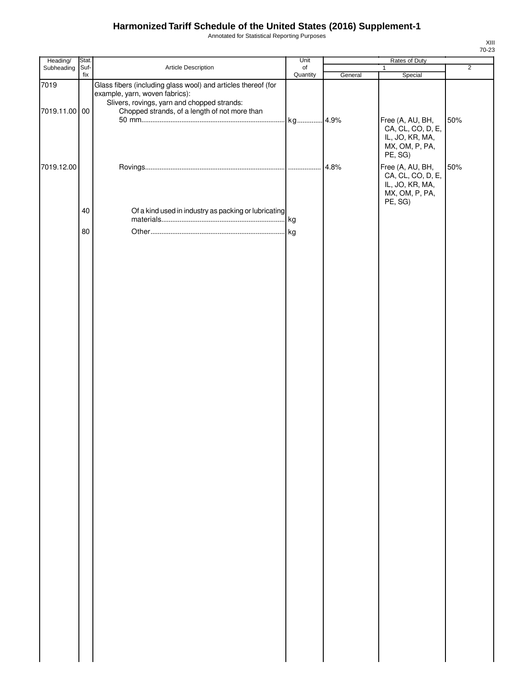Annotated for Statistical Reporting Purposes

| Heading/              | Stat. |                                                                                                                                                                                                 | Unit     |         | Rates of Duty                                                                                    |                |
|-----------------------|-------|-------------------------------------------------------------------------------------------------------------------------------------------------------------------------------------------------|----------|---------|--------------------------------------------------------------------------------------------------|----------------|
| Subheading            | Suf-  | Article Description                                                                                                                                                                             | of       |         | $\mathbf{1}$                                                                                     | $\overline{2}$ |
| 7019<br>7019.11.00 00 | fix   | Glass fibers (including glass wool) and articles thereof (for<br>example, yarn, woven fabrics):<br>Slivers, rovings, yarn and chopped strands:<br>Chopped strands, of a length of not more than | Quantity | General | Special<br>Free (A, AU, BH,<br>CA, CL, CO, D, E,<br>IL, JO, KR, MA,<br>MX, OM, P, PA,            | 50%            |
| 7019.12.00            |       |                                                                                                                                                                                                 |          | 4.8%    | PE, SG)<br>Free (A, AU, BH,<br>CA, CL, CO, D, E,<br>IL, JO, KR, MA,<br>MX, OM, P, PA,<br>PE, SG) | 50%            |
|                       | 40    | Of a kind used in industry as packing or lubricating                                                                                                                                            |          |         |                                                                                                  |                |
|                       | 80    |                                                                                                                                                                                                 |          |         |                                                                                                  |                |
|                       |       |                                                                                                                                                                                                 |          |         |                                                                                                  |                |
|                       |       |                                                                                                                                                                                                 |          |         |                                                                                                  |                |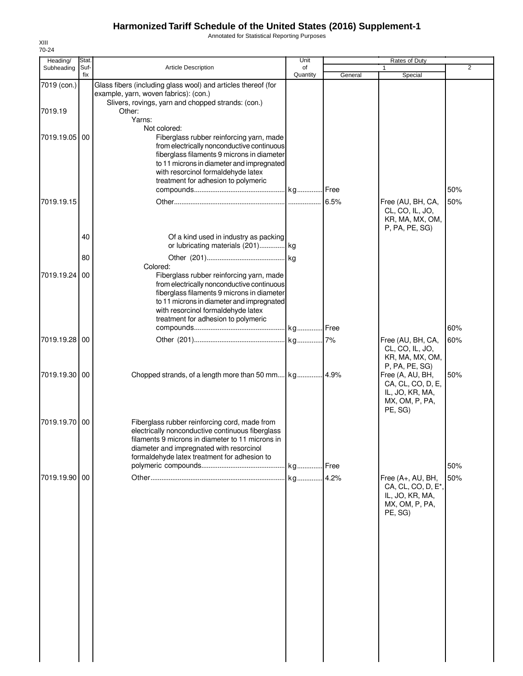Annotated for Statistical Reporting Purposes

| Heading/      | Stat.       |                                                                                                                                                                                                                                                                            | Unit           |         | Rates of Duty                                                                                        |     |
|---------------|-------------|----------------------------------------------------------------------------------------------------------------------------------------------------------------------------------------------------------------------------------------------------------------------------|----------------|---------|------------------------------------------------------------------------------------------------------|-----|
| Subheading    | Suf-<br>fix | Article Description                                                                                                                                                                                                                                                        | of<br>Quantity | General | Special                                                                                              | 2   |
| 7019 (con.)   |             | Glass fibers (including glass wool) and articles thereof (for<br>example, yarn, woven fabrics): (con.)<br>Slivers, rovings, yarn and chopped strands: (con.)                                                                                                               |                |         |                                                                                                      |     |
| 7019.19       |             | Other:<br>Yarns:<br>Not colored:                                                                                                                                                                                                                                           |                |         |                                                                                                      |     |
| 7019.19.05    | 00          | Fiberglass rubber reinforcing yarn, made<br>from electrically nonconductive continuous<br>fiberglass filaments 9 microns in diameter<br>to 11 microns in diameter and impregnated<br>with resorcinol formaldehyde latex<br>treatment for adhesion to polymeric             |                |         |                                                                                                      | 50% |
| 7019.19.15    |             |                                                                                                                                                                                                                                                                            |                | 6.5%    | Free (AU, BH, CA,<br>CL, CO, IL, JO,<br>KR, MA, MX, OM,<br>P, PA, PE, SG)                            | 50% |
|               | 40<br>80    | Of a kind used in industry as packing<br>or lubricating materials (201) kg                                                                                                                                                                                                 |                |         |                                                                                                      |     |
| 7019.19.24    | 00          | Colored:<br>Fiberglass rubber reinforcing yarn, made<br>from electrically nonconductive continuous<br>fiberglass filaments 9 microns in diameter<br>to 11 microns in diameter and impregnated<br>with resorcinol formaldehyde latex<br>treatment for adhesion to polymeric |                |         |                                                                                                      |     |
|               |             |                                                                                                                                                                                                                                                                            |                |         |                                                                                                      | 60% |
| 7019.19.28    | 00          |                                                                                                                                                                                                                                                                            |                |         | Free (AU, BH, CA,<br>CL, CO, IL, JO,<br>KR, MA, MX, OM,<br>P, PA, PE, SG)                            | 60% |
| 7019.19.30 00 |             |                                                                                                                                                                                                                                                                            |                |         | Free (A, AU, BH,<br>CA, CL, CO, D, E,<br>IL, JO, KR, MA,<br>MX, OM, P, PA,<br>PE, SG)                | 50% |
| 7019.19.70    | 00          | Fiberglass rubber reinforcing cord, made from<br>electrically nonconductive continuous fiberglass<br>filaments 9 microns in diameter to 11 microns in<br>diameter and impregnated with resorcinol<br>formaldehyde latex treatment for adhesion to                          |                |         |                                                                                                      |     |
|               |             |                                                                                                                                                                                                                                                                            | kg Free        |         |                                                                                                      | 50% |
| 7019.19.90 00 |             |                                                                                                                                                                                                                                                                            |                |         | Free (A+, AU, BH,<br>CA, CL, CO, D, E <sup>*</sup> ,<br>IL, JO, KR, MA,<br>MX, OM, P, PA,<br>PE, SG) | 50% |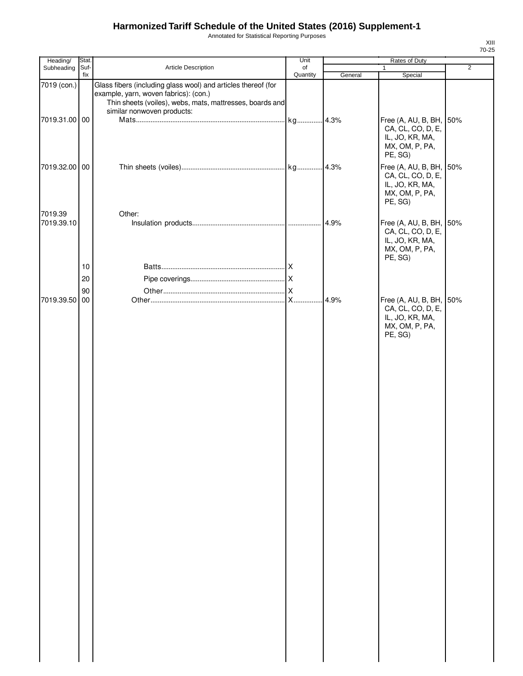Annotated for Statistical Reporting Purposes

| Heading/                     | <b>Stat</b>    |                                                                                                                                                                                                  | Unit     |         | Rates of Duty                                                                                           |                |
|------------------------------|----------------|--------------------------------------------------------------------------------------------------------------------------------------------------------------------------------------------------|----------|---------|---------------------------------------------------------------------------------------------------------|----------------|
| Subheading                   | Suf-           | Article Description                                                                                                                                                                              | of       |         | $\mathbf{1}$                                                                                            | $\overline{2}$ |
|                              | fix            |                                                                                                                                                                                                  | Quantity | General | Special                                                                                                 |                |
| 7019 (con.)<br>7019.31.00 00 |                | Glass fibers (including glass wool) and articles thereof (for<br>example, yarn, woven fabrics): (con.)<br>Thin sheets (voiles), webs, mats, mattresses, boards and<br>similar nonwoven products: |          |         | Free (A, AU, B, BH, 50%<br>CA, CL, CO, D, E,<br>IL, JO, KR, MA,<br>MX, OM, P, PA,                       |                |
| 7019.32.00 00                |                |                                                                                                                                                                                                  |          |         | PE, SG)<br>Free (A, AU, B, BH, 50%<br>CA, CL, CO, D, E,<br>IL, JO, KR, MA,<br>MX, OM, P, PA,<br>PE, SG) |                |
| 7019.39<br>7019.39.10        |                | Other:                                                                                                                                                                                           |          | 4.9%    | Free (A, AU, B, BH, 50%<br>CA, CL, CO, D, E,<br>IL, JO, KR, MA,<br>MX, OM, P, PA,                       |                |
|                              | 10<br>20<br>90 |                                                                                                                                                                                                  |          |         | PE, SG)                                                                                                 |                |
| 7019.39.50                   | 00             |                                                                                                                                                                                                  |          | 4.9%    | Free (A, AU, B, BH, 50%<br>CA, CL, CO, D, E,<br>IL, JO, KR, MA,<br>MX, OM, P, PA,<br>PE, SG)            |                |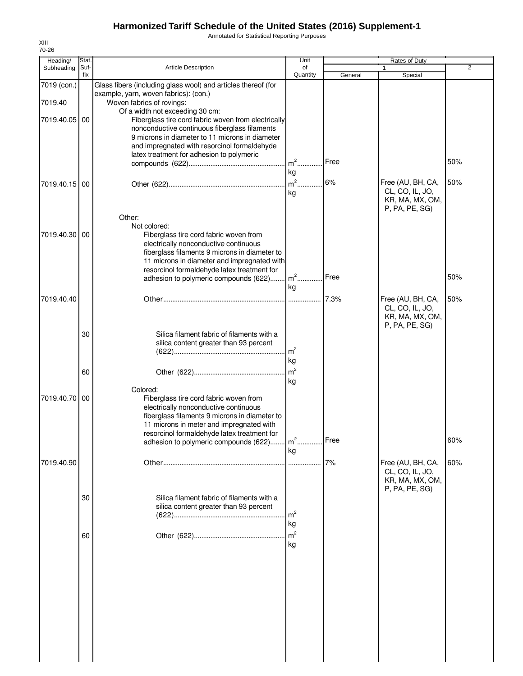Annotated for Statistical Reporting Purposes

| Heading/               | Stat.       |                                                                                                                                                                                                                                                                                                 | Unit                       |              | Rates of Duty                                                             |            |
|------------------------|-------------|-------------------------------------------------------------------------------------------------------------------------------------------------------------------------------------------------------------------------------------------------------------------------------------------------|----------------------------|--------------|---------------------------------------------------------------------------|------------|
| Subheading             | Suf-<br>fix | <b>Article Description</b>                                                                                                                                                                                                                                                                      | of<br>Quantity             | General      | 1<br>Special                                                              | 2          |
| 7019 (con.)<br>7019.40 |             | Glass fibers (including glass wool) and articles thereof (for<br>example, yarn, woven fabrics): (con.)<br>Woven fabrics of rovings:                                                                                                                                                             |                            |              |                                                                           |            |
| 7019.40.05             | 00          | Of a width not exceeding 30 cm:<br>Fiberglass tire cord fabric woven from electrically<br>nonconductive continuous fiberglass filaments<br>9 microns in diameter to 11 microns in diameter<br>and impregnated with resorcinol formaldehyde<br>latex treatment for adhesion to polymeric         | m <sup>2</sup>             | Free         |                                                                           | 50%        |
| 7019.40.15 00          |             |                                                                                                                                                                                                                                                                                                 | kg<br>$m2$ .<br>kg         | 6%           | Free (AU, BH, CA,<br>CL, CO, IL, JO,<br>KR, MA, MX, OM,<br>P, PA, PE, SG) | 50%        |
| 7019.40.30             | 00          | Other:<br>Not colored:<br>Fiberglass tire cord fabric woven from<br>electrically nonconductive continuous<br>fiberglass filaments 9 microns in diameter to<br>11 microns in diameter and impregnated with<br>resorcinol formaldehyde latex treatment for                                        |                            |              |                                                                           |            |
| 7019.40.40             |             | adhesion to polymeric compounds (622)                                                                                                                                                                                                                                                           | $m2$ .<br>kg               | Free<br>7.3% | Free (AU, BH, CA,<br>CL, CO, IL, JO,                                      | 50%<br>50% |
|                        | 30          | Silica filament fabric of filaments with a<br>silica content greater than 93 percent                                                                                                                                                                                                            | $\mathsf{m}^2$             |              | KR, MA, MX, OM,<br>P, PA, PE, SG)                                         |            |
|                        | 60          |                                                                                                                                                                                                                                                                                                 | kg<br>$\mathsf{m}^2$<br>kg |              |                                                                           |            |
| 7019.40.70             | 00          | Colored:<br>Fiberglass tire cord fabric woven from<br>electrically nonconductive continuous<br>fiberglass filaments 9 microns in diameter to<br>11 microns in meter and impregnated with<br>resorcinol formaldehyde latex treatment for<br>adhesion to polymeric compounds (622) m <sup>2</sup> |                            | Free         |                                                                           | 60%        |
| 7019.40.90             |             |                                                                                                                                                                                                                                                                                                 | kg                         | 7%           | Free (AU, BH, CA,<br>CL, CO, IL, JO,<br>KR, MA, MX, OM,                   | 60%        |
|                        | 30          | Silica filament fabric of filaments with a<br>silica content greater than 93 percent                                                                                                                                                                                                            | m <sup>2</sup><br>kg       |              | P, PA, PE, SG)                                                            |            |
|                        | 60          |                                                                                                                                                                                                                                                                                                 | m <sup>2</sup><br>kg       |              |                                                                           |            |
|                        |             |                                                                                                                                                                                                                                                                                                 |                            |              |                                                                           |            |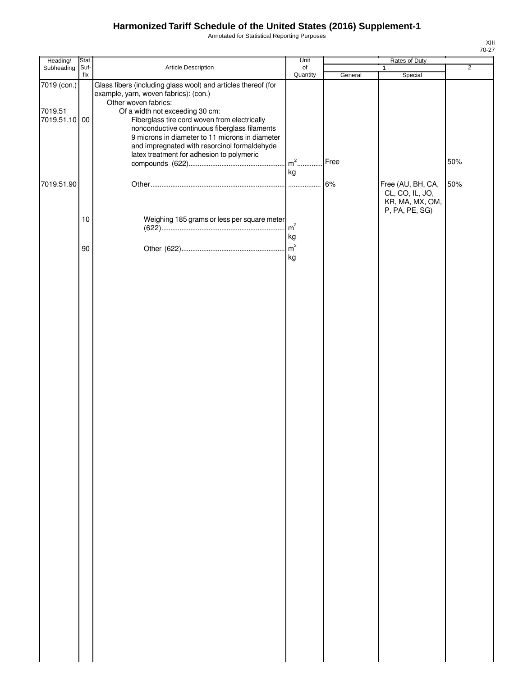Annotated for Statistical Reporting Purposes

| Heading/                                | Stat.       |                                                                                                                                                                                                                                                                                                                                                                                                                    | Unit                 | Rates of Duty |                                                                           |                |
|-----------------------------------------|-------------|--------------------------------------------------------------------------------------------------------------------------------------------------------------------------------------------------------------------------------------------------------------------------------------------------------------------------------------------------------------------------------------------------------------------|----------------------|---------------|---------------------------------------------------------------------------|----------------|
| Subheading                              | Suf-<br>fix | Article Description                                                                                                                                                                                                                                                                                                                                                                                                | of<br>Quantity       | General       | $\mathbf{1}$<br>Special                                                   | $\overline{2}$ |
| 7019 (con.)<br>7019.51<br>7019.51.10 00 |             | Glass fibers (including glass wool) and articles thereof (for<br>example, yarn, woven fabrics): (con.)<br>Other woven fabrics:<br>Of a width not exceeding 30 cm:<br>Fiberglass tire cord woven from electrically<br>nonconductive continuous fiberglass filaments<br>9 microns in diameter to 11 microns in diameter<br>and impregnated with resorcinol formaldehyde<br>latex treatment for adhesion to polymeric | $m2$<br>kg           | Free          |                                                                           | 50%            |
| 7019.51.90                              |             |                                                                                                                                                                                                                                                                                                                                                                                                                    |                      | 6%            | Free (AU, BH, CA,<br>CL, CO, IL, JO,<br>KR, MA, MX, OM,<br>P, PA, PE, SG) | 50%            |
|                                         | 10          | Weighing 185 grams or less per square meter                                                                                                                                                                                                                                                                                                                                                                        | m <sup>2</sup><br>kg |               |                                                                           |                |
|                                         | 90          |                                                                                                                                                                                                                                                                                                                                                                                                                    | m <sup>2</sup><br>kg |               |                                                                           |                |
|                                         |             |                                                                                                                                                                                                                                                                                                                                                                                                                    |                      |               |                                                                           |                |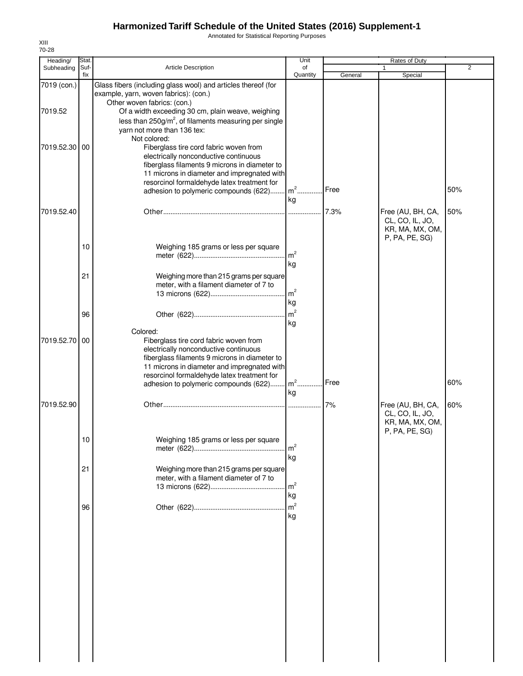Annotated for Statistical Reporting Purposes

|             |                                                                                                                                                                                                                                                        | of                                      |                                                                                                                                                                                                                                                                                       | 1                                                       | $\overline{2}$                   |
|-------------|--------------------------------------------------------------------------------------------------------------------------------------------------------------------------------------------------------------------------------------------------------|-----------------------------------------|---------------------------------------------------------------------------------------------------------------------------------------------------------------------------------------------------------------------------------------------------------------------------------------|---------------------------------------------------------|----------------------------------|
| Suf-<br>fix | <b>Article Description</b>                                                                                                                                                                                                                             | Quantity                                | General                                                                                                                                                                                                                                                                               | Special                                                 |                                  |
|             | Glass fibers (including glass wool) and articles thereof (for<br>example, yarn, woven fabrics): (con.)<br>Other woven fabrics: (con.)<br>Of a width exceeding 30 cm, plain weave, weighing<br>less than $250g/m^2$ , of filaments measuring per single |                                         |                                                                                                                                                                                                                                                                                       |                                                         |                                  |
| 00          | Not colored:<br>Fiberglass tire cord fabric woven from<br>electrically nonconductive continuous<br>fiberglass filaments 9 microns in diameter to<br>resorcinol formaldehyde latex treatment for                                                        |                                         | Free                                                                                                                                                                                                                                                                                  |                                                         | 50%                              |
|             |                                                                                                                                                                                                                                                        |                                         |                                                                                                                                                                                                                                                                                       | Free (AU, BH, CA,<br>CL, CO, IL, JO,<br>KR, MA, MX, OM, | 50%                              |
| 10          | Weighing 185 grams or less per square                                                                                                                                                                                                                  | m <sup>2</sup><br>kg                    |                                                                                                                                                                                                                                                                                       |                                                         |                                  |
| 21          | meter, with a filament diameter of 7 to                                                                                                                                                                                                                | kg                                      |                                                                                                                                                                                                                                                                                       |                                                         |                                  |
| 96          |                                                                                                                                                                                                                                                        | kg                                      |                                                                                                                                                                                                                                                                                       |                                                         |                                  |
|             | Fiberglass tire cord fabric woven from<br>electrically nonconductive continuous<br>fiberglass filaments 9 microns in diameter to<br>resorcinol formaldehyde latex treatment for<br>adhesion to polymeric compounds (622)                               |                                         | Free                                                                                                                                                                                                                                                                                  |                                                         | 60%                              |
|             |                                                                                                                                                                                                                                                        |                                         | 7%                                                                                                                                                                                                                                                                                    | Free (AU, BH, CA,<br>CL, CO, IL, JO,<br>KR, MA, MX, OM, | 60%                              |
| 10          | Weighing 185 grams or less per square                                                                                                                                                                                                                  | m <sup>2</sup>                          |                                                                                                                                                                                                                                                                                       |                                                         |                                  |
| 21          | meter, with a filament diameter of 7 to                                                                                                                                                                                                                | m <sup>2</sup><br>kg                    |                                                                                                                                                                                                                                                                                       |                                                         |                                  |
| 96          |                                                                                                                                                                                                                                                        | m <sup>2</sup><br>kg                    |                                                                                                                                                                                                                                                                                       |                                                         |                                  |
|             |                                                                                                                                                                                                                                                        |                                         |                                                                                                                                                                                                                                                                                       |                                                         |                                  |
|             |                                                                                                                                                                                                                                                        |                                         |                                                                                                                                                                                                                                                                                       |                                                         |                                  |
|             |                                                                                                                                                                                                                                                        |                                         |                                                                                                                                                                                                                                                                                       |                                                         |                                  |
|             | 7019.52.30<br>7019.52.70 00                                                                                                                                                                                                                            | yarn not more than 136 tex:<br>Colored: | 11 microns in diameter and impregnated with<br>adhesion to polymeric compounds (622) m <sup>2</sup><br>kg<br>Weighing more than 215 grams per square<br>$\mathsf{Im}^2$<br>11 microns in diameter and impregnated with<br>$m2$<br>kg<br>kg<br>Weighing more than 215 grams per square | 7.3%                                                    | P, PA, PE, SG)<br>P, PA, PE, SG) |

XIII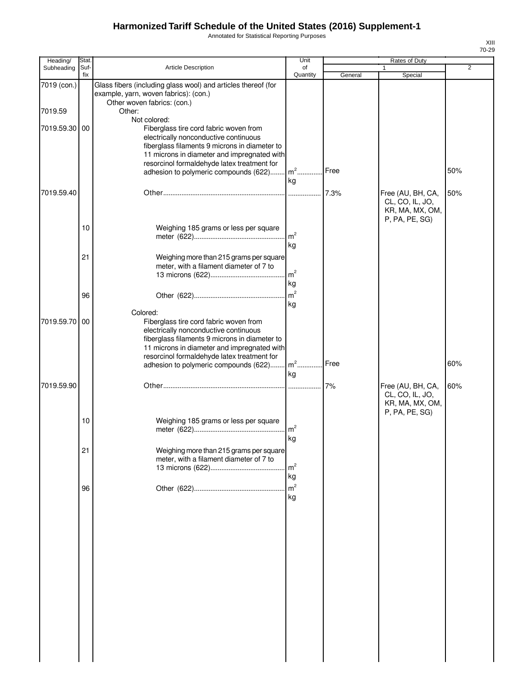Annotated for Statistical Reporting Purposes

| Heading/    | Stat.       |                                                                                                                                                                                                                                                                                     | Unit                 |         | Rates of Duty                                           |     |
|-------------|-------------|-------------------------------------------------------------------------------------------------------------------------------------------------------------------------------------------------------------------------------------------------------------------------------------|----------------------|---------|---------------------------------------------------------|-----|
| Subheading  | Suf-<br>fix | Article Description                                                                                                                                                                                                                                                                 | of<br>Quantity       | General | $\mathbf{1}$<br>Special                                 | 2   |
| 7019 (con.) |             | Glass fibers (including glass wool) and articles thereof (for<br>example, yarn, woven fabrics): (con.)                                                                                                                                                                              |                      |         |                                                         |     |
| 7019.59     |             | Other woven fabrics: (con.)<br>Other:                                                                                                                                                                                                                                               |                      |         |                                                         |     |
| 7019.59.30  | 00          | Not colored:<br>Fiberglass tire cord fabric woven from<br>electrically nonconductive continuous<br>fiberglass filaments 9 microns in diameter to<br>11 microns in diameter and impregnated with                                                                                     |                      |         |                                                         |     |
|             |             | resorcinol formaldehyde latex treatment for<br>adhesion to polymeric compounds (622)                                                                                                                                                                                                | $m^2$<br>kg          | Free    |                                                         | 50% |
| 7019.59.40  |             |                                                                                                                                                                                                                                                                                     |                      | 7.3%    | Free (AU, BH, CA,<br>CL, CO, IL, JO,<br>KR, MA, MX, OM, | 50% |
|             | 10          | Weighing 185 grams or less per square                                                                                                                                                                                                                                               | m <sup>2</sup><br>kg |         | P, PA, PE, SG)                                          |     |
|             | 21          | Weighing more than 215 grams per square<br>meter, with a filament diameter of 7 to                                                                                                                                                                                                  | m <sup>2</sup><br>kg |         |                                                         |     |
|             | 96          |                                                                                                                                                                                                                                                                                     | m <sup>2</sup><br>kg |         |                                                         |     |
| 7019.59.70  | 00          | Colored:<br>Fiberglass tire cord fabric woven from<br>electrically nonconductive continuous<br>fiberglass filaments 9 microns in diameter to<br>11 microns in diameter and impregnated with<br>resorcinol formaldehyde latex treatment for<br>adhesion to polymeric compounds (622) | $m^2$                | Free    |                                                         | 60% |
|             |             |                                                                                                                                                                                                                                                                                     | ka                   |         |                                                         |     |
| 7019.59.90  |             |                                                                                                                                                                                                                                                                                     |                      |         | Free (AU, BH, CA,<br>CL, CO, IL, JO,<br>KR, MA, MX, OM, | 60% |
|             | 10          | Weighing 185 grams or less per square                                                                                                                                                                                                                                               | m <sup>2</sup><br>кg |         | P, PA, PE, SG)                                          |     |
|             | 21          | Weighing more than 215 grams per square<br>meter, with a filament diameter of 7 to                                                                                                                                                                                                  | m <sup>2</sup><br>kg |         |                                                         |     |
|             | 96          |                                                                                                                                                                                                                                                                                     | m <sup>2</sup><br>kg |         |                                                         |     |
|             |             |                                                                                                                                                                                                                                                                                     |                      |         |                                                         |     |
|             |             |                                                                                                                                                                                                                                                                                     |                      |         |                                                         |     |
|             |             |                                                                                                                                                                                                                                                                                     |                      |         |                                                         |     |
|             |             |                                                                                                                                                                                                                                                                                     |                      |         |                                                         |     |
|             |             |                                                                                                                                                                                                                                                                                     |                      |         |                                                         |     |